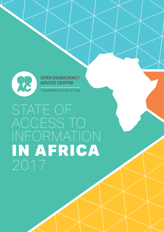

**OPEN DEMOCRACY ADVICE CENTRE** 

**TRANSPARENCY IN ACTION** 

# STATE OF ACCESS TO INFORMATION IN AFRICA 2017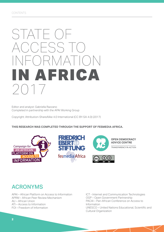# STATE OF ACCESS TO INFORMATION AFRICA 2017

Editor and analyst: Gabriella Razzano Completed in partnership with the APAI Working Group

Copyright: Attribution-ShareAlike 4.0 International (CC BY-SA 4.0) (2017)

**THIS RESEARCH WAS COMPLETED THROUGH THE SUPPORT OF FESMEDIA AFRICA.**



## ACRONYMS

APAI – African Platform on Access to Information APRM – African Peer Review Mechanism AU – African Union ATI – Access to Information FOI – Freedom of Information

ICT - Internet and Communication Technologies OGP – Open Government Partnership PACAI – Pan-African Conference on Access to Information UNESCO – United Nations Educational, Scientific and Cultural Organization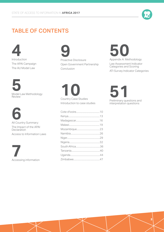

## TABLE OF CONTENTS

**4** Introduction The APAI Campaign The AU Model Law







## **9** Proactive Disclosure Open Government Partnership Conclusion

**10** Country Case Studies Introduction to case studies

# **50**

Appendix A: Methodology Law Assessment Indicator Categories and Scoring ATI Survey Indicator Categories

**51**<br>Preliminary questions and

interpretation questions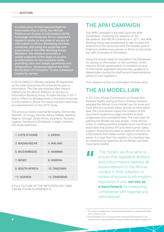In celebration of International Right to Information Day in 2015, the African Platform on Access to Information (APAI) Campaign and fesmedia Africa released a research study on the state of access to information in Africa. Reviewing fourteen countries, and using the expertise and experience of the APAI Working Group Members, the research provides a useful snapshot of the state of access to information on the continent while providing clear and simple summaries and infographics, measured against the APAI Declaration of Principles<sup>1</sup>. It was completed largely by survey.

In 2016 UNESCO officially adopted 28 September as the International Day for Universal Access to Information. The Day was adopted after intense lobbying by the African Platform on Access to Information Working Group. To mark the Day in 2017, and to reflect on developments in the state of access to information in Africa, this study has been launched as a development on the 2015 study.

The previous review covered Botswana, Democratic Republic of Congo, Gambia, Kenya, Malawi, Namibia, Nigeria, Senegal, South Africa, Swaziland, Tanzania, Uganda, Zambia and Zimbabwe. In slight contrast, this study examines:

| <b>1. COTE D'IVOIRE</b> | 2. KENYA            |
|-------------------------|---------------------|
| <b>3. MADAGASCAR</b>    | 4. MALAWI           |
| 5. MOZAMBIQUE           | 6. NAMIBIA          |
| 7. NIGER                | 8. NIGERIA          |
| <b>9. SOUTH AFRICA</b>  | <b>10. TANZANIA</b> |
| 11. UGANDA              | <b>12. ZIMBABWE</b> |

A FULL OUTLINE OF THE METHODOLOGY USED CAN BE FOUND IN APPENDIX A.

## THE APAI CAMPAIGN

The APAI Campaign is founded upon the APAI Declaration<sup>2</sup>. Following the adoption of the Declaration, and PACAI Conference in 2011, the APAI Working Group was established to take forward the ambitions of the document with the broader goal of helping to enable every person in Africa to fully enjoy the right of access to information.

Using the Group hopes to strengthen the framework for access to information on the continent, which requires African governments to establish access to information legislation and provides guidance to stakeholders during the drafting and implementation phase of such legislation.

This research is thus a continuation of those aims.

## THE AU MODEL LAW

In 2013 the African Commission on Human and Peoples' Rights, during its Extra-Ordinary Session, adopted the African Union Model Law. As more and more African countries adopt access to information laws, the Commission hoped the creation of this document would encourage countries to draft progressive and considered laws. The main logic for passing the Model Law was simple – if the African Union is creating positive obligations on countries to enact laws that protect ATI and other human rights, support should be provided to states (in the form of a framework) that makes human rights compliance easier. It is clear then the creation of a standard was an underscoring objective. As the Model Law itself importantly stated:

The model Law thus aims to<br>ensure that legislative drafter<br>and policy-makers address a<br>issues relevant to the African ensure that legislative drafters and policy-makers address all issues relevant to the African context in their adoption or review of access to information legislation. It also **serves as a benchmark** for measuring compliance with regional and international".

<sup>1.</sup> The report is available here: http://www.africanplatform.org/uploads/media/ ATI-in-Africa\_01.pdf.

<sup>2.</sup> The Declaration can be accessed here: http://www.africanplatform.org/ fileadmin/user\_upload/pdf/APAI-Declaration/APAI-Declaration-English.pdf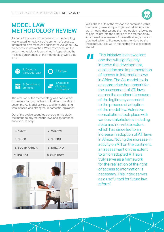

## MODEL LAW METHODOLOGY REVIEW

As part of this wave of the research, a methodology was created for reviewing the content of access to information laws measured against the AU Model Law on Access to Information. While more detail on the actual methodology is contained in Appendix A, the main design priorities of the methodology were that it be:

| 1. Based on<br>the Model Law; | 2. Simple;                             |
|-------------------------------|----------------------------------------|
| 3. Sensitive to<br>contexts;  | 4. Capable<br>of cross-<br>comparison. |

The creation of the methodology was not in order to create a "ranking" of laws, but rather to be able to action the AU Model Law as a tool for highlighting weaknesses, and strengths, in domestic legislation.

Out of the twelve countries covered in this study, the methodology tested the laws of eight of those surveyed, namely:

| 1. KENYA               | 2. MALAWI   |
|------------------------|-------------|
| 3. NIGER               | 4. NIGERIA  |
| <b>5. SOUTH AFRICA</b> | 6. TANZANIA |
| 7. UGANDA              | 8. ZIMBABWE |



While the results of the reviews are contained within the country case study, and general reflections, it is worth noting that testing the methodology allowed us to gain insight into the practice of the methodology. An external assessment of the methodology was also obtained, which will be used to further develop the indicators, but it is worth noting that the assessment stated:

This initiative is an excellent<br>
one that will significantly<br>
improve the development,<br>
application and implementation one that will significantly improve the development, of access to information laws in Africa. The AU model law is an appropriate benchmark for the assessment of ATI laws across the continent because of the legitimacy accorded to the process of adoption of the model law. Extensive consultations took place with various stakeholders including state and non-state actors, which has since led to an increase in adoption of ATI laws in Africa...Noting the increase in activity on ATI on the continent, an assessment on the extent to which adopted ATI laws truly serve as a framework for the realisation of the right of access to information is necessary. This index serves as a useful tool for future law reform".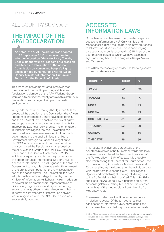## ALL COUNTRY SUMMARY

## THE IMPACT OF THE APAI DECLARATION

As noted, the APAI Declaration was adopted on 19 September 2011, upon a motion for adoption moved by Advocate Pansy Tlakula, Special Rapporteur on Freedom of Expression and Access to Information of the African Commission on Human and People's Rights and seconded by Honourable Norris Tweah, Deputy Minister of Information, Culture and Tourism for the Republic of Liberia.

This research has demonstrated, however, that the document has had impact beyond its mere "declaration". Members of the APAI Working Group were able to outline the variety of ways this ambitious Declaration has managed to impact domestic environments.

In Uganda for instance, though the Ugandan ATI Law preceded the adoption of the Declaration, the African Freedom of Information Centre have used both it, and the AU Model Law, to analyse their existing law and propose recommendation on amendments to improve the Law itself, as well as its implementation. In Tanzania and Nigeria too, the Declaration has been used as an awareness-raising tool both with government and the public. In fact, the Nigerian Government, through its National Delegation to UNESCO in Paris, was one of the three countries that sponsored the Resolutions championed by the APAI Working Group at the UNESCO Executive Board and at the General Conference in 2015, which subsequently resulted in the proclamation of September 28 as International Day for Universal Access to Information. The willingness of the Nigerian Government to play this role was evidently as a result of the profile and impact that the APAI Declaration had at the national level. The Declaration itself was adopted with an official delegation led by the then Minister of Information, Mr. Labaran Maku, in addition to several media practitioners, representatives of civil society organizations and digital technology activists, among others, in attendance from Nigeria. In Kenya too, its freedom of information network was reinvigorated after the APAI Declaration was successfully launched.

## ACCESS TO INFORMATION LAWS

Of the twelve countries examined, ten have specific access to information laws<sup>3</sup>. Only Namibia and Madagascar did not, though both did have an Access to Information Bill in process. This is encouraging – particularly as in our last survey in 2015 three of the countries we looked at, which we have examined again now, only had a Bill in progress (Kenya, Malawi and Tanzania).

The ATI law methodology provided the following scores to the countries reviewed:

| <b>COUNTRY</b>      | <b>SCORE</b> | $\frac{0}{0}$ |
|---------------------|--------------|---------------|
| <b>KENYA</b>        | 66           | 75            |
| <b>MALAWI</b>       | 68           | 77            |
| <b>NIGER</b>        | 38           | 43            |
| <b>NIGERIA</b>      | 38           | 43            |
| <b>SOUTH AFRICA</b> | 69           | 78            |
| <b>TANZANIA</b>     | 52           | 59            |
| <b>UGANDA</b>       | 48           | 55            |
| <b>ZIMBABWE</b>     | 49           | 56            |

This results in an average percentage of the countries reviewed of **61%**. In other words, the laws reviewed only achieved the best practice vision of the AU Model law in 61% of its text. It is probably also worth noting that – except for South Africa – the top three scoring African laws (Malawi, Kenya and Tanzania) all come into being after the AU Model Law, with the bottom four scoring laws (Niger, Nigeria, Uganda and Zimbabwe) all coming into being prior to the AU Model Law being drafted. This potentially speaks to the AU Model Law's influence on current African legislative drafting, but is of course affected by the bias of the methodology itself given its AU Model Law roots.

The research also provided interesting evidence in relation to scope. Of the ten countries that had access to information laws, only Uganda and Zimbabwe's law provided no provision for requests

<sup>3.</sup> Other African countries which do have laws, but were not a part of our sample, included (as of July 2017) Angola, Burkina Faso, Ethiopia, Guinea, Liberia, Mozambique, Rwanda, Sierra Leone, South Sudan, Sudan, Togo and Tunisia.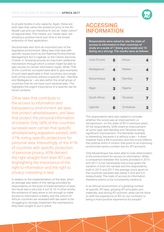to private bodies in any capacity. Again, these are both laws that came into existence prior to the AU Model Law and can therefore fit into an "older cohort" of regional laws. This means, our "newer laws" are showing a positive trend over time in the broad extension of their application.

Sectoral laws also form an important part of the legislative environment. Many laws that deal with specific issues (such as the National Environmental Management Act in Uganda, or the Clients Services Charter in Tanzania) provide an important additional mechanism through which a citizen might be able to gain access to certain information types. While 75% of the countries surveyed were able to give examples of such laws applicable in their countries, worryingly both of the countries without a specific law – Namibia and Madagascar – are also within the small group of countries that do not have such sectoral laws. This highlights the urgent importance of a specific law for those contexts.

Other laws that contribute to the access to information and transparency environment are laws that protect whistleblowers, and laws that protect the personal information of citizens. Only 58% of the countries surveyed were certain that specific whistleblowing legislation existed, with 41% noting specific protections for personal data. Interestingly, of the 41% of countries with specific protection of personal privacy, 60% derived the right straight from their ATI Law (highlighting the importance of the right to information and the right to privacy coexisting in law).

In relation to the implementation of the laws, when an average was taken of the ratings provided by respondents on the level of implementation of laws, the result was a very low 4 out of 10. In other words, the existence of laws alone is not enough to make access to information a reality, and the cohort of African countries we reviewed with law seem to be struggling to strongly implement the mechanisms they have sought to put in place.

## ACCESSING INFORMATION

Respondents were asked to rate the state of access to information in their countries of study on a scale of 1 (being very weak) and 10 (being very strong). The results were as follows:

| Cote D'Ivoire: | 5 | Kenya:    | Ø,                      |
|----------------|---|-----------|-------------------------|
| Madagascar:    | 4 | Malawi:   | $\overline{\mathbf{A}}$ |
| Mozambique:    | 5 | Namibia:  | 7                       |
| Niger:         | 3 | Nigeria:  | 2                       |
| South Africa:  | 8 | Tanzania: | 7                       |
| Uganda:        | 6 | Zimbabwe: |                         |

The respondents were also asked to consider whether this score was an improvement, or retrogression, on the state of ATI in previous years. Of the respondents, 50% noted an improvement of some type, with Namibia and Tanzania noting significant improvement. The Namibian example is interesting, because it is without a law – it does however have a Bill in process, and this score reflects the political shifts in motion that point to an improving environment (and a context ripe for ATI activism).

Only Mozambique has been able to note deterioration in the environment for access to information. While a comparison between the scores provided in 2015 and 2017 is not necessarily instructive given the variation in both the sample and the respondents, both in 2015 and 2017 the average score given to the countries sampled was below 5 (4.8 and 4.4 respectively). The state of access to information therefore seems to be consistently mediocre.

In an African environment of a growing number of specific ATI laws, growing ATI principles and materials, and strong ATI activism, what can be done to shift the experience of ATI on our continent to being a more positive experience for people?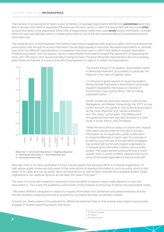The practice of accessing information is also of interest. On average respondents felt that only **sometimes** were they able to access information if requested (Tanzania was the only country in which the respondent felt they could **often** access information once requested). While 25% of respondents noted they could **rarely** access information, included within this pool was Namibia, which is notable given that it is one of the two countries without a dedicated access to information law.

The characteristics of the requesters themselves might impact negatively their response rights, which contravenes the presumption that the right to access information should apply equally to everyone. We asked respondents to consider how much the different characteristics of a requester have been seen to affect their ability to request information. "Political association" and "occupation" are the characteristics that seem to impact the experience of requesting the most, with "HIV status" and "sexual orientation" being the least. The least influential characteristics are not surprising; given these are features of a person that will not be apparent on sight or in written correspondence.



<sup>[</sup>Note that 1= Not At All Influential; 2 = Slightly Influential; 3 = Somewhat Influential; 4 = Very Influential; and 5 = Extremely Influential].

The results linking to "occupation" are probably rooted in differential treatment of journalists, in particular. For instance, in the case of Uganda noted:

" In refusing to grant request for asset declaration filed by Ronald Ssekyewa, a News Editor of Kampala Dispatch Newsletter, the Inspector General of Government cites among others 'risk of it being published further'....".4

Similar incidences were also noted in Cote D'Ivoire, Madagascar and Malawi. Interestingly, the 2015 survey confirmed both "occupation" and "political association" as the most influential, and "sexual orientation" and "HIV status" as the least. This difference in occupational treatment was also revealed in a case study in South Africa<sup>5</sup>, and Zimbabwe:

"While the law is blind to status of citizens who request information and provides for the right to access information on an equal basis, public bodies tend to respond differently to each case. For example, in its efforts to put the law to the test MISA Zimbabwe has worked with community-based organisations in requesting for information held by various public bodies. The response and turnaround time is much quicker when it comes to MISA requests than it is for some of the small organisations that we work with.

Although there is no clear explanation for this, it would appear that because MISA is a national organisation of high repute, public bodies are fully aware of the implications of denying information to such an entity, which is fully aware of its rights and can go public about its experiences as well as seek remedies from available bodies. Small organisations can easily be ignored, as has been the case in the past".6

The issue of course with subjective measures is that the ability to assess impact really depends on who the respondent is. This is why the qualitative components of the answers is instructive. In Kenya, the respondent noted:

" We asked different categories of citizens to request information from parliament and parliamentarians and the officials tended to respond positively to academics, journalists and least to ordinary citizens".

Activists are clearly aware of the potential for differential treatment (hence that several respondents have actually engaged in studies examining exactly that issue).

> 4. ATI Report Uganda 5. ATI Report 6. Zimbabwe report.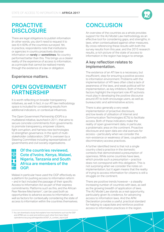

## PROACTIVE **DISCLOSURE**

There are legal obligations to publish information (in other words, you don't need to request it to see it) in 60% of the countries surveyed. Yet, in practice, respondents note that institutions or agencies in country proactively disclose information on **rarely** or **sometimes**. No country performed better than this. This brings us a clearer reality of the experience of access to information, as a principle that cannot be realised merely through the existence of a law or obligation.

### Experience matters.

## OPEN GOVERNMENT PARTNERSHIP

It is worth reflecting on broader transparency initiatives, as well. In fact, in our ATI law methodology space is included for considering results from additional indicators, or contextual influences.

The Open Government Partnership (OGP) is a multilateral initiative, launched in 2011, that aims to secure concrete commitments from governments to promote transparency, empower citizens, fight corruption, and harness new technologies to strengthen governance. In the spirit of multistakeholder collaboration, OGP is overseen by a Steering Committee including representatives of governments and civil society organisations.

#### Of the countries reviewed, H. Cote d'Ivoire, Kenya, Malawi, Nigeria, Tanzania and South Africa are members of the OGP.

Malawi in particular have used the OGP effectively as a platform for pushing access to information reform – and in fact included the passage of their specific Access to Information Act as part of their express commitments. Platforms such as this, and the African Peer Review Mechanism<sup>7</sup>, can be used both as opportunities to advance access to information, as well as factors for contextually considering the state of access to information within the countries themselves.

7. You can download a study that explains how mechanisms such as the OGP and APRM can co-exist and reinforce each other from here: http:// opendemocracy.org.za/images/docs/OGP\_in\_context\_report.pdf

## **CONCLUSION**

An overview of the countries as a whole provides support for the AU Model Law methodology as an effective tool for considering gaps, and strengths, in laws, when contextualised against other measures. By cross-referencing these results with both the survey results from this year, and the 2015 research results, a rich picture of the state of access to information in the region has begun to emerge.

### A key reflection relates to implementation.

The existence of an ATI law is a necessary, but insufficient, step for ensuring a positive access to information environment. Problems with the implementation of ATI laws often cited a lack of awareness of the laws, and weak political will for implementation, as key inhibitors. Both of these factors highlight the important role ATI activists must play in developing the positive discourse around ATI to both encourage users, as well as bureaucratic and administrative actors.

There is also generally a very weak implementation of proactive disclosure, and low levels of utilisation of Internet and Communication Technologies (ICTs) to facilitate access. Both of these indicators make the reality of open government data, in particular, a problematic area on the continent. Proactive disclosure and open data are vital avenues for access – particularly when we consider the non-existence or weakness of laws, coupled with discriminatory access practices.

A further identified trend is that not a single country cited a practice in the domestic contexts that demonstrated a presumption of openness. While some countries have laws, which provide such a presumption – practice does not correspond with this obligation. This is not surprising when we consider the notes on implementation, but it again means that the reality of trying to access information for citizens is still a struggle on the continent.

There are positive trends however – a steadily increasing number of countries with laws, as well as the growing breadth of application of laws. The AU Model Law stands as a real opportunity, particularly given its credence, for advancing access to information laws. And the APAI Declaration provides a useful, practical standard for helping to capacitate and reinforce positive access to information practices in the region.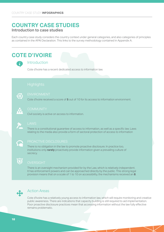## **COUNTRY CASE STUDIES** Introduction to case studies

Each country case study considers the country context under general categories, and also categories of principles as contained in the APAI Declaration. This links to the survey methodology contained in Appendix A.

## **COTE D'IVOIRE**



### Introduction

Cote d'Ivoire has a recent dedicated access to information law.



Cote d'Ivoire received a score of **5** out of 10 for its access to information environment.



Civil society is active on access to information.



There is a constitutional guarantee of access to information, as well as a specific law. Laws relating to the media also provide a form of sectoral protection of access to information



#### PROACTIVE DISCLOSURES

There is no obligation in the law to promote proactive disclosure. In practice too, institutions only **rarely** proactively provide information given a prevailing culture of secrecy.



There is an oversight mechanism provided for by the Law, which is relatively independent. It has enforcement powers and can be approached directly by the public. This strong legal provision means that on a scale of 1 to 10 on accessibility, the mechanisms received an **8**.



### Action Areas

Cote d'Ivoire has a relatively young access to information law, which will require monitoring and creative public awareness. There are indications that capacity building is still required to aid implementation. Poor proactive disclosure practices mean that accessing information without the law fully effective remains problematic.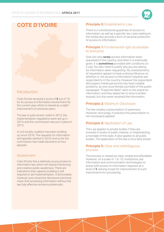

## **COTE D'IVOIRE**

### Introduction

Cote d'Ivoire received a score of **5** out of 10 for its access to information environment for the current year, which is viewed as a slight improvement on previous years.

The law is quite recent; voted in 2013, the implementation regulations were set up in 2014, and the commission was put in place in 2015.

A civil society coalition has been building up since 2016. The requests for information and appeals started in 2016, and so far the commission has made decisions on four appeals.

#### Assessment

Cote d'Ivoire has a relatively young access to information law, which will require monitoring and creative public awareness. There are indications that capacity building is still required to aid implementation. Unfortunately however, poor proactive disclosure practices mean that accessing information without the law fully effective remains problematic.

#### **Principle 3: Established in Law**

There is a constitutional guarantee of access to information, as well as a specific law. Laws relating to the media also provide a form of sectoral protection of access to information.

#### **Principle 1:** Fundamental right accessible to everyone

One can only **rarely** access information when requested in the country, and when it is eventually given, it is **sometimes** provided with conditions on it use. You also need to justify why you are asking for information when requesting. No characteristics of requesters appear to have a strong influence on whether or not access to information requests are responded to in the country. However the respondent did suspect media personnel may have notable problems, as one vocal female journalist of the public newspaper "Fraternite Matin" went to the police for information, and they asked her to send a written request, but she never received the information.

#### **Principle 2:** Maximum Disclosure

The law creates a presumption of openness. However, worryingly, in practice this presumption is not necessarily applied.

#### **Principle 4: Application of Law**

The Law applies to private bodies if they are involved in works of public interest, or implementing a mandate of the state. It also applies to all public bodies. The application of the law is thus fairly broad.

#### **Principle 5:** Clear and unambiguous process

The process is viewed as clear, simple and affordable. However, on a scale of 1 to 10, institutions use information and communication technologies to assist with access to information requests at a level of **3**, leaving scope for improvement of such mechanisms for processing.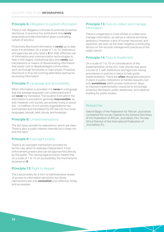### **Principle 6:** Obligation to publish information

There is not obligation in the law to promote proactive disclosure. In practice too, institutions only **rarely** proactively provide information given a prevailing culture of secrecy.

Proactively disclosed information is **rarely** up to date when it is provided. On a scale of 1 to 10, institutions and agencies are only rated a **3** for their effective use of information and communication technologies to help in this regard. Institutional also only **rarely** use mechanisms or means of disseminating information that assist rural or disadvantaged communities, such as through brochures or road shows. Proactive disclosure is thus not a strong alternative avenue for accessing information.

### **Principle 7:** Language and accessibility

When information is provided, it is **never** in a language that the average requester can understand and it will **never** be translated. The location from which the information is provided is generally **inaccessible**, as well. However, civil society are actively trying to assist this - a coalition of civil society organisations has summarised and translated the ATI law into four local languages: baoulé, bété, dioula, and koulango.

#### **Principle 8:** Limited exemptions

The Act does provide for exemptions, which are clear. There is also a public interest override, but it does not limit the harm.

#### **Principle 9: Oversight bodies**

There is an oversight mechanism provided for by the Law, which is relatively independent. It has enforcement powers and can be approached directly by the public. This strong legal provision means that on a scale of 1 to 10 on accessibility, the mechanisms received an **8**.

#### **Principle 12: Right to Appeal**

The Law provides for a form of administrative review of access to information decisions, but these mechanisms are only **somewhat** cost effective, timely and accessible.

#### **Principle 13: Duty to collect and manage** information

There is a legal duty in Cote d'Ivoire to collect and manage information, as well as a national archiving law/policy. However, a lack of human resources, and expertise, are seen as the main negative contributing factors on the records management practices of the public sector.

#### **Principle 14: Duty to Implement**

On a scale of 1 to 10 on consideration of the implementation of the Act, Cote d'Ivoire was given a score of 7, with institutions and agencies having procedures or policies in place to help guide implementation. There are **often** designated persons in place in public institutions to handle requests, but only **sometimes** within private institutions. Ways to improve implementation would be to encourage proactive disclosure, public awareness, and capacity building for public bodies.

#### Researcher

Gabriel Baglo of the Federation for African Journalists completed the survey. Gabriel is the General Secretary of the Federation of African Journalists, FAJ. He was Africa Director of the International Federation of Journalists, IFJ.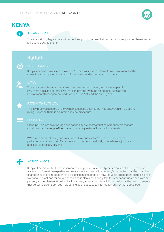

## **KENYA**

### Introduction

There is a strong legislative environment supporting access to information in Kenya – but there can be legislative contradictions.



### ENVIRONMENT

Kenya received a low score of **4** out of 10 for its access to information environment for the current year, compared to a strong 7 it received under the previous survey.



There is a constitutional guarantee of access to information, as well as a specific law. There are also sectoral laws that can provide avenues for access, such as the Environmental Management and Coordination Act, and the Mining Act.



The law received a score of 75% when assessed against the Model Law, which is a strong rating. However, there is no internal review procedure.



### EQUALITY

Class, political association, age and nationality are characteristics of requesters that are considered **extremely influential** on how a requester of information is treated.

"We asked different categories of citizens to request information from parliament and parliamentarians, and the officials tended to respond positively to academics, journalists and least to ordinary citizens".



### Action Areas

Kenya's Law did well in the assessment, but implementation and practice are contributing to poor access to information experiences. Kenya was also one of the country's that noted that the individual characteristics of a requester have a significant influence on how requests are responded to. This has worrying implications for equal access, and is also a cautionary tale for other countries: once laws are passed, and implementation begins in earnest, a new struggle which then arises is the need to ensure that certain persons don't get left behind as the access to information environment develops.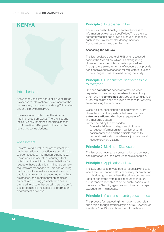## **KENYA**

### Introduction

Kenya received a low score of **4** out of 10 for its access to information environment for the current year, compared to a strong 7 it received under the previous survey.

The respondent noted that the situation had improved somewhat. There is a strong legislative environment supporting access to information in Kenya – but there can be legislative contradictions.

#### Assessment

Kenya's Law did well in the assessment, but implementation and practice are contributing to poor access to information experiences. Kenya was also one of the country's that noted that the individual characteristics of a requester have a significant influence on how requests are responded to. This has worrying implications for equal access, and is also a cautionary tale for other countries: once laws are passed, and implementation begins in earnest, a new struggle which then arises is the need to ensure that certain persons don't get left behind as the access to information environment develops.

#### **Principle 3: Established in Law**

There is a constitutional guarantee of access to information, as well as a specific law. There are also sectoral laws that can provide avenues for access, such as the Environmental Management and Coordination Act, and the Mining Act.

#### **Assessing the ATI Law**

The law received a score of 75% when assessed against the Model Law, which is a strong rating. However, there is no internal review procedure (though there are other forms of recourse that provide additional avenues of access for requesters). It is one of the strongest laws reviewed during the study.

#### **Principle 1:** Fundamental right accessible to everyone

One can **sometimes** access information when requested in the country, but when it is eventually given, and it is **sometimes** provided with conditions on it use. You do not need to provide reasons for why you are requesting the information.

Class, political association, age and nationality are characteristics of requesters that are considered **extremely influential** on how a requester of information is treated.

Further, noted by the respondent:

"We asked different categories of citizens to request information from parliament and parliamentarians, and the officials tended to respond positively to academics, journalists and least to ordinary citizens".

#### **Principle 2:** Maximum Disclosure

The law does not create a presumption of openness, nor in practice is such a presumption ever applied.

#### **Principle 4: Application of Law**

The Law applies to private bodies, especially in cases where the information held is necessary for protection of individual rights, and where the private bodies have used or benefitted from public resources through public tenders. It applies to some public bodies, with the National Security agencies and diplomatic corps excluded from its mandate.

#### **Principle 5:** Clear and unambiguous process

The process for requesting information is both clear and simple, though affordability is neutral. However, on a scale of 1 to 10, institutions use information and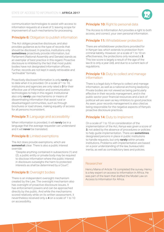communication technologies to assist with access to information requests at a level of 3, leaving scope for improvement of such mechanisms for processing.

#### **Principle 6:** Obligation to publish information

The Act obliges proactive disclosure, and also provides guidance as to the type of records that should be disclosed. In practice, institutions only **sometimes** proactively provide information, but Parliament (National Assembly and Senate) stands as an exemplar of best practice in this regard. Proactive disclosure is inhibited by the fact that most public bodies have not designated information officers. Further, records are not kept in easily retrievable and "archivable" formats.

Proactively disclosed information is only **rarely** up to date when it is provided. On a scale of 1 to 10, institutions and agencies are only rated a **3** for their effective use of information and communication technologies to help in this regard. Institutional also only **rarely** use mechanisms or means of disseminating information that assist rural or disadvantaged communities, such as through brochures or road shows, making equality of access for all persons inconsistent.

#### **Principle 7:** Language and accessibility

When information is provided, it will **rarely** be in a language that the average requester can understand and it will **never** be translated.

#### **Principle 8:** Limited exemptions

The Act does provide exemptions, which are **somewhat** clear. There is also a public interest override:

"Despite anything contained in subsections (1) and (2), a public entity or private body may be required to disclose information where the public interest in disclosure outweighs the harm to protected interests as shall be determined by a Court".

### **Principle 9: Oversight bodies**

There is an independent oversight mechanism created by the Law. The oversight mechanism also has oversight of proactive disclosure issues. It has enforcement powers and can be approached directly by the public. And while the mechanisms scored relatively while on its written assessment, it nevertheless received only a **4** on a scale of 1 to 10 on accessibility.

#### **Principle 10:** Right to personal data

The Access to Information Act provides a right to both access, and correct, your own personal information.

#### **Principle 11:** Whistleblower protection

There are whistleblower protections provided for in Kenyan law, which extends to protection from criminal liability. However, on a scale of 1 to 10 on effectiveness, the protections only received a **3**. This low score is largely a result of the age of the law (it is only a year old), and due to a current lack of regulations.

#### **Principle 13: Duty to collect and manage** information

There is a legal duty in Kenya to collect and manage information, as well as a national archiving law/policy. Private bodies are not viewed as being particularly effective in their records management, and in the public sector poor financial resources and a lack of political will are seen as key inhibitors to good practice. As seen, poor records management is also cited as being responsible for the negative aspects of Kenya's proactive disclosure practices.

### **Principle 14: Duty to Implement**

On a scale of 1 to 10 on consideration of the implementation of the Act, Kenya was given a score of **3**, not aided by the absence of procedures or policies to help guide implementation. There are **sometimes** designated persons in place in public institutions to handle requests, but only **rarely** within private institutions. Problems with implementation are based on a poor understanding of the law, bureaucratic inertia, as well as contradictory laws and policies.

#### Researcher

Henry Maina of Article 19 completed the survey. Henry is a key expert on access to information in Africa. He was part of the team that drafted the Model Law on Access to Information for Africa.



**15**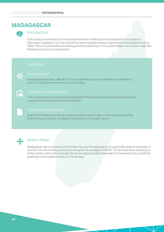## **MADAGASCAR**



### Introduction

Civil society movements and the media have been mobilising for the adoption of an access to information legislation, but the draft bill has been hanging between government and parliament since 2006. There is a Committee promoting proactive disclosure in the public bodies, but it works under the Presidency and is not independent.



### ENVIRONMENT

Madagascar was given a **4** out of 10 for its general access to information performance, which is a slight improvement on previous years.

#### PROACTIVE DISCLOSURES

The Conseil pour la Sauvegarde de l'Intrégrité (CSI) promotes ATI and proactive disclosure in government institutions and the ministries.

#### RECORDS MANAGEMENT

A lack of financial resources and a lack of political will are seen as the main contributing factors for poor records management practices of the public sector.



#### Action Areas

Madagascar has no access to information law, and the appearance of a generally weak environment. A priority in for the country should be pushing for the passage of the Bill. The fact that there is already an entity in place with some oversight should be used as political leverage for the law and may contribute positively to the implementation of the law later.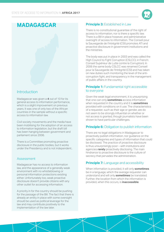

## **MADAGASCAR**

### Introduction

Madagascar was given a **4** out of 10 for its general access to information performance, which is a slight improvement on previous years. It was one of only two of the African countries in the sample without a specific access to information law.

Civil society movements and the media have been mobilising for the adoption of an access to information legislation, but the draft bill has been hanging between government and parliament since 2006.

There is a Committee promoting proactive disclosure in the public bodies, but it works under the Presidency and is not independent..

#### Assessment

Madagascar has no access to information law, and the appearance of a generally weak environment with no whistleblowing or personal information protections existing either. Unfortunately too, weak proactive disclosure doesn't provide citizens with any other outlet for accessing information.

A priority in for the country should be pushing for the passage of the Bill. The fact that there is already an entity in place with some oversight should be used as political leverage for the law and may contribute positively to the implementation of the law later.

#### **Principle 3: Established in Law**

There is no constitutional guarantee of the right of access to information, nor is there a specific law. There is a Bill in place however, and administrative oversight of access to information. The Conseil pour la Sauvegarde de l'Intrégrité (CSI) promotes ATI and proactive disclosure in government institutions and the ministries.

The body was put in place in 2003 and was called the High Council to Fight Corruption (CSLCC), in French: Conseil Supérieur de Lutte contre la Corruption). In 2006 the same body CSLCC was renamed Conseil pour la Sauvegarde de l'Intrégrité (CSI) and has taken on new duties such monitoring the level of the anticorruption fight, and transparency in the management of public affairs in the country.

#### **Principle 1:** Fundamental right accessible to everyone

Given the weak legal environment, it is unsurprising that one can only **sometimes** access information when requested in the country and it is **sometimes** provided with conditions on it use. The characteristics of a requester, such as their age or gender, are do not seem to be strongly influential on whether or not access is granted, though journalists have been shown to have particular challenges.

#### **Principle 6:** Obligation to publish information

There are no legal obligations in Madagascar to proactively publish information, nor guidance on the specific categories and types of information that could be disclosed. The practice of proactive disclosure is thus unsurprisingly poor – with institutions and agencies **rarely** proactively disclosing. The main hindrance to proactive disclosure is the culture of secrecy that pervades the administration.

#### **Principle 7:** Language and accessibility

When information is provided, it will only **sometimes** be in a language, which the average requester can understand and will only **sometimes** be translated. Further, the location from which the information is provided, when this occurs, is **inaccessible**.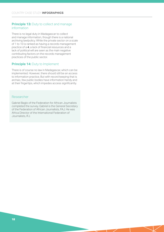#### **Principle 13: Duty to collect and manage** information

There is no legal duty in Madagascar to collect and manage information, though there is a national archiving law/policy. While the private sector on a scale of 1 to 10 is ranked as having a records management practice of a **4**, a lack of financial resources and a lack of political will are seen as the main negative contributing factors on the records management practices of the public sector.

#### **Principle 14: Duty to Implement**

There is of course no law in Madagascar, which can be implemented. However, there should still be an access to information practice. But with record keeping that is archaic, few public bodies have information handy and at their fingertips, which impedes access significantly.

#### Researcher

Gabriel Baglo of the Federation for African Journalists completed the survey. Gabriel is the General Secretary of the Federation of African Journalists, FAJ. He was Africa Director of the International Federation of Journalists, IFJ.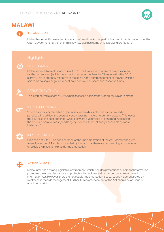

## **MALAWI**



### Introduction

Malawi has recently passed an Access to Information Act, as part of its commitments made under the Open Government Partnership. This new law also has some whistleblowing protections.



### ENVIRONMENT

Malawi received a weak score of **4** out of 10 for its access to information environment for the current year (which was a much weaker score than the 7 it received in the 2015 survey). This is probably reflective of the delay in the commencement of the Act, which is said to be having a negative impact on proactive disclosure and response times.



The law received a score of 77% when assessed against the Model Law, which is strong.



#### WHISTLEBLOWING

"There are no clear remedies or [penalties] when whistleblowers are victimised or penalised. In addition, the oversight body does not have enforcement powers. This leaves the courts as the best option for whistleblowers if victimised or penalised. Accessing the courts is however costly and lengthy process, thus not easily accessible by most Malawians"



#### IMPLEMENTATION

On a scale of 1 to 10 on consideration of the implementation of the Act, Malawi was given a very low score of **3** – this is not aided by the fact that there are not seemingly procedures or policies in place to help guide implementation.



### Action Areas

Malawi now has a strong legislative environment, which includes protections of personal information, promotes proactive disclosure and protects whistleblowers all reinforced by a new Access to Information Act. However, there are noticeable implementation issues, strongly demonstrated by weakness in records management. Further, full commencement of the Act should be an issue of absolute priority.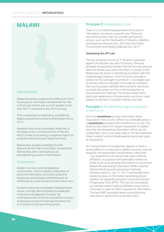## **MALAWI**

### Introduction

Malawi received a weak score of **4** out of 10 for its access to information environment for the current year (which was a much weaker score than the 7 it received in the 2015 survey).

This comparison is interesting, considering Malawi passed its Access to Information Act in 2017.

However, this score is probably reflective of the delay in the commencement of the Act, which is said to be having a negative impact on proactive disclosure and response times.

Malawi also recently submitted its first National Action Plan to the Open Government Partnership, with a strong focus on strengthening access to information.

#### Assessment

Malawi now has a strong legislative environment, which includes protections of personal information, promotes proactive disclosure and protects whistleblowers all reinforced by a new Access to Information Act.

However, there are noticeable implementation issues, strongly demonstrated by weakness in records management. Further, full commencement of the Act should be an issue of absolute priority for both government and civil society in the upcoming period.

#### **Principle 3: Established in Law**

There is a constitutional guarantee of access to information, as well as a specific law. There are also sectoral laws that can provide avenues for access, such as the Declaration of Assets, Liabilities and Business Interests Act, 2013 and the Public Procurement and Assets Disposal Act, 2017.

#### **Assessing the ATI Law**

The law received a score of 77% when assessed against the Model Law, which is strong. This was probably impacted by the fact that the Act was passed after the Model Law came into effect. A review of the Malawi law did assist in identifying a problem with the methodology, however. It did not score strongly in relation to the oversight mechanism – but largely due to the fact that its oversight is through an institution that has its powers defined within another law (there is a brief discussion on this in the introduction to the assessment method). The review noted that a particular weakness is the exemption sections, made weaker by the lack of a public interest override.

#### **Principle 1:** Fundamental right accessible to everyone

One can **sometimes** access information when requested in the country. When it is eventually given, it is **sometimes** provided with conditions on it use. The practice also seems to require requesters to explain why they are requesting information, which can be problematic, and is not made clear in the law itself (and make it easier to discriminate against particular types of requesters).

No characteristics of a requester appear to have a strong affect on a requester's ability to access records. However, the respondent nevertheless noted that:

"Our experience has shown that class, political affiliation, occupation and nationality matters at times as far as accessing information is concerned. Malawi Broadcasting Corporation (MBC) reporter Patrick Dambula and cameraman Hastings Khombo were on July 17, 2017 manhandled and denied access to information by striking prison warders for allegedly being pro-ruling Democratic Progressive Party (DPP). This can be considered an example where 'political affiliation' assumed or otherwise, is seen to affect request for information. The two MBC journalists were not granted any interview or opportunity to do their story".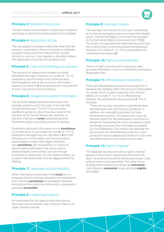

#### **Principle 2:** Maximum Disclosure

The law creates a presumption of openness. However, worryingly, in practice this presumption is not applied.

#### **Principle 4: Application of Law**

The Law applies to private bodies that either that are owned or controlled or financed directly, or indirectly, by public funds, and those that perform a public function or service. It also applies to all public bodies. The application of the law is thus fairly broad.

#### **Principle 5:** Clear and unambiguous process

The process for requesting is viewed as simple, affordable and clear. However, on a scale of 1 to 10, institutions use information and communication technologies to assist with access to information requests at a level of **3**, leaving scope for improvement of such mechanisms for processing.

#### **Principle 6:** Obligation to publish information

The Act both obliges proactive disclosure, and provides guidance as to the type of records that should be disclosed. The Act in fact provides significant guidance, which may be a result of the example set by the AU Model Law. However, in practice, institutions **rarely** proactively provide information given a prevailing culture of secrecy.

Proactively disclosed information is only **sometimes** up to date when it is provided. On a scale of 1 to 10, institutions and agencies are only rated a **3** for their effective use of information and communication technologies to help in this regard. And they only **sometimes** use mechanisms or means of disseminating information that assist rural or disadvantaged communities, such as through brochures or road shows. So the implementation on proactive disclosure seems to be lagging behind its drafting.

#### **Principle 7:** Language and accessibility

When information is provided, it will **rarely** be in a language that the average requester can understand and it will only **sometimes** be translated. However, the location from which the information is provided is generally **accessible**.

#### **Principle 8:** Limited exemptions

As mentioned, the Act does provide exemptions, which are only somewhat clear. However, there is no public interest override

### **Principle 9: Oversight bodies**

The oversight mechanism for the Law is interesting as it extends oversight powers to a body that already exists - the Human Rights Commission as provided for by the Human Rights Commission Act (1998). The public can approach the body directly, and it also has a role to play in promoting proactive disclosure. However, on a scale of 1 to 10 on accessibility, the mechanisms received a **6**.

#### **Principle 10:** Right to personal data

There is a right to access and correct your own personal information in terms of the Births and Deaths Registration Act.

#### **Principle 11:** Whistleblower protection

There are whistleblower protections provided for in Malawian law (notably, within the Access to Information Act itself), which include protection from criminal liability. On a scale of 1 to 10 on effectiveness however, the protections only received a **5**. This is because:

"There are no clear remedies or [penalties] when whistleblowers are victimised or penalised. In addition, the oversight body does not have enforcement powers. This leaves the courts as the best option for whistleblowers if victimised or penalised. Accessing the courts is however costly and lengthy process, thus not easily accessible by most Malawians. This means that although the law provides for whistleblower protection, such protection may be delayed and limited to a few who can afford lawyers and sustain a court case".

#### **Principle 12: Right to Appeal**

The Malawian law also provides a right to internal appeal on information request decisions (but this does not extend to proactive disclosure issues). Later judicial review is also permitted. This other forms of appeal mechanisms are viewed as **somewhat** cost effective, **somewhat** timely, and only **slightly** accessible.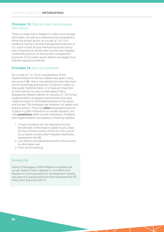#### **Principle 13: Duty to collect and manage** information

There is a legal duty in Malawi to collect and manage information, as well as a national archiving law/policy. While the private sector on a scale of 1 to 10 is ranked as having a records management practice of a 5, a lack of lack of poor financial resources and a lack of experience will are seen as the main negative contributing factors on the records management practices of the public sector (there's are largely thus internal capacity problems).

#### **Principle 14: Duty to Implement**

On a scale of 1 to 10 on consideration of the implementation of the Act, Malawi was given a very low score of **3** – this is not aided by the fact that there are not seemingly procedures or policies in place to help guide implementation. It is however important to note that the Access to Information Policy (adopted by Malawi Cabinet on January 27, 2014) has implementation strategies and activities that were crafted to assist in the implementation of the policy and the law. The strategies are however out-dated, and require revision. There are **often** designated persons in place in public institutions to handle requests, but only **sometimes** within private institutions. Problems with implementation are based on three key realities:

- 1. A lack of political will, not helped by the fact the Minister of Information needs to set a date for the commencement of the Act. He is yet to do so seven months after President Mutharika assented to the Bill.
- 2. Low literacy and awareness levels of the access to information law.
- 3. Poor record keeping.

#### Researcher

Aubrey Chikungwa of MISA-Malawi completed the survey. Aubrey holds a degree in Journalism and Masters in Communication for Development. Aubrey was part of a special taskforce that developed the ATI Policy (2014) and Act (2017).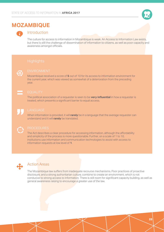

## **MOZAMBIQUE**



### Introduction

The culture for access to information in Mozambique is weak. An Access to Information Law exists, but there is still the challenge of dissemination of information to citizens, as well as poor capacity and awareness amongst officials.



Mozambique received a score of **5** out of 10 for its access to information environment for the current year, which was viewed as somewhat of a deterioration from the preceding year.

#### EQUALITY

The political association of a requester is seen to be **very influential** in how a requester is treated, which presents a significant barrier to equal access.



### **LANGUAGE**

When information is provided, it will **rarely** be in a language that the average requester can understand and it will **rarely** be translated.



#### PROCEDURES

The Act describes a clear procedure for accessing information, although the affordability and simplicity of the process is more questionable. Further, on a scale of 1 to 10, institutions use information and communication technologies to assist with access to information requests at low level of **1**.



### Action Areas

The Mozambique law suffers from inadequate recourse mechanisms. Poor practices of proactive disclosure, and a strong authoritarian culture, combine to create an environment, which is not conducive to strong access to information. There is still room for significant capacity building, as well as general awareness raising to encourage a greater use of the law.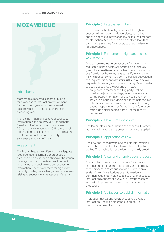## **MOZAMBIQUE**

### Introduction

Mozambique received a score of **5** out of 10 for its access to information environment for the current year, which was viewed as somewhat of a deterioration from the preceding year.

There is not much of a culture of access to information in the country yet. Although the Freedom of Information Act was passed in 2014, and its regulations in 2015, there is still the challenge of dissemination of information to citizens, as well as poor capacity and awareness amongst officials.

#### Assessment

The Mozambique law suffers from inadequate recourse mechanisms. Poor practices of proactive disclosure, and a strong authoritarian culture, combine to create an environment, which is not conducive to strong access to information. There is still room for significant capacity building, as well as general awareness raising to encourage a greater use of the law.

#### **Principle 3: Established in Law**

There is a constitutional guarantee of the right of access to information in Mozambique, as well as a specific access to information law called the Freedom of Information Act. There are also sectoral laws that can provide avenues for access, such as the laws on local authorities.

#### **Principle 1:** Fundamental right accessible to everyone

One can only **sometimes** access information when requested in the country. And, when it is eventually given, it is **sometimes** provided with conditions on its use. You do not, however, have to justify why you are making requests when you do. The political association of a requester is seen to be **very influential** in how a requester is treated, which presents a significant barrier to equal access. As the respondent noted:

"In general, a member of ruling party, Frelimo, used to be [at an advantage] in terms of access to important information for business, even for individuals or political decisions. If, for instance, [we] talk about corruption, we can conclude that many cases happen in term of facilitation of information from high official bodies in favor [of their] party comrades".

#### **Principle 2:** Maximum Disclosure

The law creates a presumption of openness. However, worryingly, in practice this presumption is not applied.

#### **Principle 4: Application of Law**

The Law applies to private bodies hold information in the public interest. The law also applies to all public bodies. The application of the law is thus fairly broad.

#### **Principle 5:** Clear and unambiguous process

The Act describes a clear procedure for accessing information, although the affordability and simplicity of the process is more questionable. Further, on a scale of 1 to 10, institutions use information and communication technologies to assist with access to information requests at a level of **1**, leaving massive scope for improvement of such mechanisms to aid processing.

#### **Principle 6:** Obligation to publish information

In practice, institutions **rarely** proactively provide information. The main hindrance to proactive disclosure is described thus: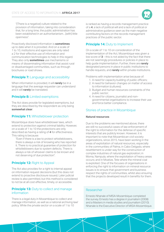"[There is a negative] culture related to the provision of information, taking into consideration that, for a long time, the public administration has been established in an authoritarianism…[with] little openness".

Proactively disclosed information is **sometimes** up to date when it is provided. And on a scale of 1 to 10, institutions and agencies are only rated a 2 for their effective use of information and communication technologies to help in this regard. They also only **sometimes** use mechanisms or means of disseminating information that assist rural or disadvantaged communities, such as through brochures or road shows.

#### **Principle 7:** Language and accessibility

When information is provided, it will **rarely** be in a language that the average requester can understand and it will **rarely** be translated.

#### **Principle 8:** Limited exemptions

The Act does provide for legislated exemptions, but they are described by the respondent as only being **somewhat clear**.

#### **Principle 11:** Whistleblower protection

Mozambique does have whistleblower laws, which extend to protection against criminal liability. However, on a scale of 1 to 10 the protections are only described as having a rating of **4** for effectiveness. This rating is because:

"Even if there is a law to protect whistleblowers, there is always a risk of knowing who has reported it. There is no practical guarantee of protection for whistleblowers due to system defects. There is always a risk of whoever claims to be known and not deserving of due protection".

#### **Principle 12: Right to Appeal**

The Act also provides for a right to internal appeal on information request decisions (but this does not extend to proactive disclosure issues). Later judicial review is also permitted, but this method is considered to not be at all cost effective, timely, or accessible.

#### **Principle 13: Duty to collect and manage** information

There is a legal duty in Mozambique to collect and manage information, as well as a national archiving law/ policy. While the private sector on a scale of 1 to 10

is ranked as having a records management practice of a **4**, a lack of political will and a lack of political or administrative guidance seen as the main negative contributing factors on the records management practices of the public sector.

### **Principle 14:** Duty to Implement

On a scale of 1 to 10 on consideration of the implementation of the Act, Mozambique was given a low score of **3** – this is not aided by the fact that there are not seemingly procedures or policies in place to help guide implementation. Further, there are **rarely** designated persons in place in public institutions to handle requests, and **rarely** within private institutions.

Problems with implementation arise because of:

- 1. A need for capacity building of public officers;
- 2. A need for behavior changes on matter of access to information (cultures);
- 3. Budget and human resources constraints of the public sector;
- 4. A need for citizens, journalist and nongovernmental organisations to increase their use and force better compliance.

#### Stories of practice in Mozambique

#### **Natural resources**

Due to the problems we mentioned above, there are still no successful cases of law enforcement of the right to information for the defense of specific interests that are publicly known. However, it is important to note that Mozambican civil society organizations, since 2015, have been working in the areas of exploitation of natural resources, especially in the communities of Palma, in Cabo Delgado, where resettlement is under way for the construction of complex industries of natural gas exploration; in Moma, Nampula, where the exploitation of heavy areas occurs; and in Moatize, Tete where the mineral coal is exploited. One of the focuses of organisations in enforcing the right to information on mineral resource issues is to ensure that government and business respect the rights of communities, whilst also ensuring that the projects developed result in benefits for them.

#### Researcher

Ernesto Nhanale of MISA-Mozambique completed the survey. Ernesto has a degree in journalism (2008) and a Masters in media studies and journalism (2010). Nhanale is the Executive Director of MISA-Mozambique.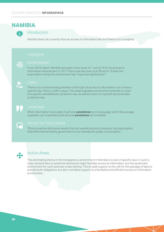## **NAMIBIA**



### Introduction

Namibia does not currently have an access to information law, but there is on in progress.



#### ENVIRONMENT

In our 2015 report, Namibia was given a low score of 1 out of 10 for its access to information environment. In 2017 that score has shot up to **7** out of 10 (with the respondent noting this environment has "improved significantly").



There is no constitutional guarantee of the right of access to information, nor is there a specific law. There is a Bill in place. This weak legislative environment extends to a lack of a specific whistleblower protection law, as well as a lack of a specific personal data protection law.

#### **LANGUAGE**

When information is provided, it will only **sometimes** be in a language, which the average requester can understand and will only **sometimes** be translated.



"[Poor proactive disclosure results from] an overall practice of secrecy, the presumption that [information] held by government is not intended for public consumption".



### Action Areas

The dominating theme in the transparency environment in Namibia is a lack of specific laws. In such a case, sectoral laws or proactive disclosure might facilitate access to information, but the systematic environment for such avenues is also lacking. This all adds support to the call for the passage of laws to provide both obligations, but also normative support to a facilitative and efficient access to information environment.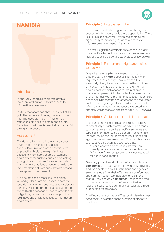

## **NAMIBIA**

### Introduction

In our 2015 report, Namibia was given a low score of **1** out of 10 for its access to information environment.

In 2017 that score has shot up to 7 out of 10 (with the respondent noting this environment has "improved significantly"), which is a reflection of the exciting stage the country finds itself in, with an Access to Information Bill strongly in process.

#### Assessment

The dominating theme in the transparency environment in Namibia is a lack of specific laws. In such a case, sectoral laws or proactive disclosure might facilitate access to information, but the systematic environment for such avenues is also lacking (though the foundations for sound records management practices that can help with the implementation of laws once they are passed does appear to be present).

It is also noticeable that a lack of political will and guidance are hindrances in both the records management and proactive disclosure context. This is important – it adds support to the call for the passage of laws to provide both obligations, but also normative support to a facilitative and efficient access to information environment.

### **Principle 3: Established in Law**

There is no constitutional guarantee of the right of access to information, nor is there a specific law. There is a Bill in place however – which has contributed significantly to improving the general access to information environment in Namibia.

This weak legislative environment extends to a lack of a specific whistleblower protection law, as well as a lack of a specific personal data protection law as well.

#### **Principle 1:** Fundamental right accessible to everyone

Given the weak legal environment, it is unsurprising that one can only **rarely** access information when requested in the country. However, when it is eventually given, it is rarely provided with conditions on it use. This may be a reflection of the informal environment in which access to information is in practice happening. A further potential consequence of this informality (and the fact that access happens so occasionally) is that the characteristics of a requester, such as their age or gender, are uniformly not at all influential on whether or not access is granted (this anomaly was in fact also apparent in the 2015 survey).

#### **Principle 6:** Obligation to publish information

There are certain legal obligations in Namibian law to proactively publish information, which also tends to provide guidance on the specific categories and types of information to be disclosed. In spite of this legal obligation though, in practice institutions and agencies only **sometimes** do so. The main hindrance to proactive disclosure is described thus:

"[Poor proactive disclosure results from] an overall practice of secrecy, the presumption that [information] held by government is not intended for public consumption".

Generally, proactively disclosed information is only **sometimes** up to date when it is eventually provided. And, on a scale of 1 to 10, institutions and agencies are only rated a 5 for their effective use of information and communication technologies to help in this regard. They also only **sometimes** use mechanisms or means of disseminating information that assist rural or disadvantaged communities, such as through brochures or road shows.

The Department of National Treasury in Namibia does set a positive example on the practice of proactive disclosure.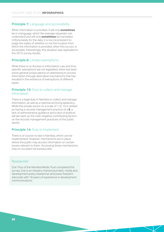#### **Principle 7:** Language and accessibility

When information is provided, it will only **sometimes** be in a language, which the average requester can understand and will only **sometimes** be translated. Unfortunately for the data, it is too inconsistent to judge the reality of whether or not the location from which the information is provided, when this occurs, is accessible. Interestingly, this situation was replicated in the 2015 survey results.

#### **Principle 8:** Limited exemptions

While there is no Access to Information Law, and thus specific exemptions are not legislated, there has been some general jurisprudence on attempting to access information through alternative mechanisms that has resulted in the existence of exemptions of different types.

#### **Principle 13: Duty to collect and manage** information

There is a legal duty in Namibia to collect and manage information, as well as a national archiving law/policy. While the private sector on a scale of 1 to 10 is ranked as having a records management practice of a **6**, a lack of administrative guidance and a lack of political will are seen as the main negative contributing factors on the records management practices of the public sector.

#### **Principle 14: Duty to Implement**

There is of course no law in Namibia, which can be implemented. However, mechanisms are in place where the public may access information on certain issues relevant to them. Accessing these mechanisms may on occasion be bureaucratic.

#### Researcher

Zoe Titus of the Namibia Media Trust completed the survey. Zoe is an industry-trained journalist, media and development policy researcher and press freedom advocate with 19 years of experience in development communications.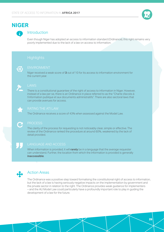

## **NIGER**

### Introduction

Even though Niger has adopted an access to information standard (Ordinance), this right remains very poorly implemented due to the lack of a law on access to information.

ENVIRONMENT

Niger received a weak score of **3** out of 10 for its access to information environment for the current year.



There is a constitutional guarantee of the right of access to information in Niger. However, instead of a law per se, there is an Ordinance in place referred to as the "Charte d'accès à l'information publique et aux documents administratifs". There are also sectoral laws that can provide avenues for access.



The Ordinance receives a score of 43% when assessed against the Model Law.

The clarity of the process for requesting is not noticeably clear, simple or effective. The review of the Ordinance ranked the procedure at around 60%, weakened by the lack of detail provided.

#### LANGUAGE AND ACCESS

When information is provided, it will **rarely** be in a language that the average requester can understand. Further, the location from which the information is provided is generally **inaccessible**.



### Action Areas

The Ordinance was a positive step toward formalising the constitutional right of access to information, but the lack of a law is having seriously negative impacts on the implementation by government and the private sector in relation to the right. The Ordinance provides weak guidance for implementers – and the AU Model Law could particularly have a profoundly important role to play in guiding the development of a law for the future.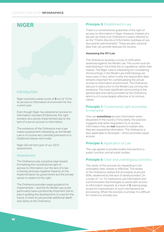## **NIGER**

### Introduction

Niger received a weak score of **3** out of 10 for its access to information environment for the current year.

Even though Niger has adopted an access to information standard (Ordinance), this right remains very poorly implemented due to the lack of a law on access to information.

The existence of the Ordinance over a law makes assessment interesting, as the Model Law is of course very centrally premised on a traditional statute-led model.

Niger did not form part of our 2015 assessment.

#### Assessment

The Ordinance was a positive step toward formalising the constitutional right of access to information, but the lack of a law is having seriously negative impacts on the implementation by government and the private sector in relation to the right.

The Ordinance provides weak guidance for implementers – and the AU Model Law could particularly have a profoundly important role to play in guiding the development of a law for the future, or even to just provide additional depth and clarity to the Ordinance.

#### **Principle 3: Established in Law**

There is a constitutional guarantee of the right of access to information in Niger. However, instead of a law per se, there is an Ordinance in place referred to as the "Charte d'accès à l'information publique et aux documents administratifs". There are also sectoral laws that can provide avenues for access.

#### **Assessing the ATI Law**

The Ordinance receives a score of 43% when assessed against the Model Law. This score must be read bearing in mind that this is a guidance, rather than statute. The Niger case is interesting for considering shortcomings in the Model Law methodology we have used, in fact, which is why the respondent data remains important for contextualising the actual access to information environment. The Ordinance was put in place prior to the Model Law coming into existence. The most significant shortcoming is the general lack and clarity provided by the Ordinance, which is of course largely reflective of its intrinsic nature.

#### **Principle 1:** Fundamental right accessible to everyone

One can **sometimes** access information when requested in the country. Fortunately, the practice suggests that when requesters try to access information they are **not** required to explain why they are requesting information. The Ordinance is also applicable to all people – which promotes equal access.

#### **Principle 4: Application of Law**

The Law applies to private bodies that perform a public function, and all public bodies.

#### **Principle 5:** Clear and unambiguous process

The clarity of the process for requesting is not noticeably clear, simple or effective. The review of the Ordinance ranked the procedure at around 60%, weakened by the lack of detail provided. On a scale of 1 to 10, institutions use information and communication technologies to assist with access to information requests at a level of **3**, leaving large scope for improvement of such mechanisms for processing. When the process is unclear, it is difficult for citizens to actually use.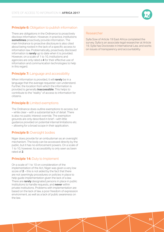### **Principle 6:** Obligation to publish information

There are obligations in the Ordinance to proactively disclose information. However, in practice, institutions **sometimes** proactively provide information. The main hindrance to proactive disclosure is also cited about being rooted in the lack of a specific access to information law. Problematically, proactively disclosed information is **rarely** up to date when it is provided. However, on a scale of 1 to 10, institutions and agencies are only rated a **4** for their effective use of information and communication technologies to help in this regard.

### **Principle 7:** Language and accessibility

When information is provided, it will **rarely** be in a language that the average requester can understand. Further, the location from which the information is provided is generally **inaccessible**. This helps to contribute to the "reality" of access to information for citizens.

#### **Principle 8:** Limited exemptions

The Ordinance does outline exemptions to access, but – while clear – with a substantial lack of detail. There is also no public interest override. The exemption grounds are only described in brief – with little guidance provided on potential internal limitations etc. – allowing for a broad scope in their application.

#### **Principle 9: Oversight bodies**

Niger does provide for an ombudsman as an oversight mechanism. The body can be accessed directly by the public, but it has no enforcement powers. On a scale of 1 to 10, however, its accessibility is only seen as been rated at **2**.

#### **Principle 14: Duty to Implement**

On a scale of 1 to 10 on consideration of the implementation of the Act, Niger was given a very low score of **2** – this is not aided by the fact that there are not seemingly procedures or policies in place to help guide implementation given the lack of a law. There are **rarely** designated persons in place in public institutions to handle requests, and **never** within private institutions. Problems with implementation are based on the lack of law, a poor freedom of expression environment, as well as a lack of public awareness on the law.

#### Researcher

Sylla Sow of Article 19 East Africa completed the survey. Sylla is an associate legal researcher at Article 19. Sylla has Doctorate in International Law, and works on issues of transparency and accountability.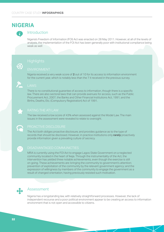## **NIGERIA**



### Introduction

Nigeria's Freedom of Information (FOI) Act was enacted on 28 May 2011. However, at all of the levels of analysis, the implementation of the FOI Act has been generally poor with institutional compliance being weak as well



#### ENVIRONMENT

Nigeria received a very weak score of **2** out of 10 for its access to information environment for the current year, which is notably less than the 7 it received in the previous survey.



There is no constitutional guarantee of access to information, though there is a specific law. There are also sectoral laws that can provide avenues for access, such as the Public Procurement Act, 2007, the Banks and Other Financial Institutions Act, 1991; and the Births, Deaths, Etc. (Compulsory Registration) Act of 1991.



 $\bullet$ 

The law received a low score of 43% when assessed against the Model Law. The main issues in the assessment were revealed to relate to oversight.

The Act both obliges proactive disclosure, and provides guidance as to the type of records that should be disclosed. However, in practice institutions only **rarely** proactively provide information given a prevailing culture of secrecy.

MRA is currently using the FOI Act to engage Lagos State Government on a neglected community located in the heart of Ikeja. Through the instrumentality of the Act, the intervention has yielded three notable achievements, even though the exercise is still on going. These achievements are: bringing the community to government's attention; prevention of exploitation of the community by the relevant government agency; and the expression of willingness by members of the community to engage the government as a result of changed orientation, having previously resisted such motivation.



#### Assessment

Nigeria has a longstanding law, with relatively straightforward processes. However, the lack of independent recourse and a poor political environment appear to be creating an access to information environment that is not open and accessible to citizens.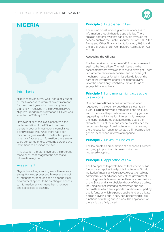

## **NIGERIA**

### Introduction

Nigeria received a very weak score of **2** out of 10 for its access to information environment for the current year, which is notably less than the 7 it received in the previous survey. Nigeria's Freedom of Information (FOI) Act was enacted on 28 May 2011.

However, at all of the levels of analysis, the implementation of the FOI Act has been generally poor with institutional compliance being weak as well. While there has been minimal progress made in the last few years in terms of access to information, there seem to be concerted efforts by some persons and institutions to handicap the Act.

This situation therefore reverses the progress made or, at least, stagnate the access to information regime.

#### Assessment

Nigeria has a longstanding law, with relatively straightforward processes. However, the lack of independent recourse and a poor political environment appear to be creating an access to information environment that is not open and accessible to citizens.

### **Principle 3: Established in Law**

There is no constitutional guarantee of access to information, though there is a specific law. There are also sectoral laws that can provide avenues for access, such as the Public Procurement Act, 2007, the Banks and Other Financial Institutions Act, 1991; and the Births, Deaths, Etc. (Compulsory Registration) Act of 1991.

#### **Assessing the ATI Law**

The law received a low score of 43% when assessed against the Model Law. The main issues in the assessment were revealed to relate to oversight. There is no internal review mechanism, and no oversight mechanism except for administrative duties on the part of the Attorney General. The right to review is for the courts only, which has limits in terms of accessibility for citizens.

#### **Principle 1:** Fundamental right accessible to everyone

One can **sometimes** access information when requested in the country, but when it is eventually given, it is **never** provided with conditions on it use. You do not need to provide reasons for why you are requesting the information. Interestingly however, the respondent noted that across the board the characteristics of the requester do not influence the responses they get from institutions. In that sense, there is equality – but unfortunately still not a positive general experience in terms of response.

### **Principle 2: Maximum Disclosure**

The law creates a presumption of openness. However, worryingly, in practice this presumption is not necessarily applied.

### **Principle 4: Application of Law**

The Law applies to private bodies that receive public funds. It also applies to all public institutions. "Public institution" means any legislative, executive, judicial, administrative or advisory body of the government, including boards, bureau, committees or commissions of the State, and any subsidiary body of those bodies, including but not limited to committees and subcommittees which are supported in whole or in part by public fund, or which expends public fund and private bodies providing public services, performing public functions or utilizing public funds. The application of the law is thus fairly broad.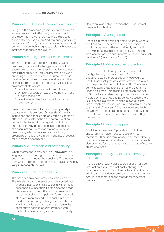#### **Principle 5:** Clear and unambiguous process

In Nigeria, the process is generally viewed as simple, accessible and cost effective (the assessment of the law itself however did not find the process sufficiently clear on paper). And immensely positively, on a scale of 1 to 10, institutions use information and communication technologies to assist with access to information requests at a level of **9**.

#### **Principle 6:** Obligation to publish information

The Act both obliges proactive disclosure, and provides guidance as to the type of records that should be disclosed. However, in practice institutions only **rarely** proactively provide information given a prevailing culture of secrecy (the Bureau of Public Service Reform does however stand as a positive exemplar). The problems in the proactive disclosure environment stem from:

- 1. A lack of awareness about the obligation;
- 2. A history of secrecy laws and oaths in civil and public service; and
- 3. A lack of effective Freedom of Information recourse system.

Proactively disclosed information is only **rarely** up to date when it is provided. On a scale of 1 to 10, institutions and agencies are only rated a **5** for their effective use of information and communication technologies to help in this regard. Institutions and agencies **never** use mechanisms or means of disseminating information that assist rural or disadvantaged communities, such as through brochures or road shows, making equality of access for all persons inconsistent.

### **Principle 7:** Language and accessibility

When information is provided, it will **always** be in a language that the average requester can understand, but in contrast will **never** be translated. The location from which the information is provided is also generally **very inaccessible**, as well.

### **Principle 8:** Limited exemptions

The Act does provide exemptions, which are clear. There is also a public interest override, worded thus:

"A public institution shall disclose any information described in subsection (l) of this section if that disclosure would be in the public interest as it relates to public health, public safety or protection of the environment and, if the public interest in the disclosure clearly outweighs in importance any financial loss or gain to, or prejudice to the competitive position of or interference with contractual or other negotiation of a third party."

Courts are also obliged to raise the public interest override if applicable.

#### **Principle 9: Oversight bodies**

There is a form of oversight by the Attorney General, but it has no independence from government. The public can approach the entity directly and it will deal with proactive disclosure issues, but it has no enforcement powers and, in terms of accessibility, only receives a 5 (on a scale of 1 to 10).

#### **Principle 11:** Whistleblower protection

There are whistleblower protections provided for Nigerian law, but, on a scale of 1 to 10 on effectiveness, the protections only received a 2. The FOI Act itself provides some protections, which include protection from criminal liability. There are also some sectoral protections, such as the Economic Financial Crimes Commission (Establishment) Act, 2004; the Independent Corrupt Practices and Other Related Offences Act; and Evidence Act. Also, there is a Federal Government Whistle-blowers Policy, under which, disclosure made in good faith could lead to an award of between 2.5% (minimum) and 5.0% (maximum) of the total amount of money recovered. These forms of financial incentives are incredibly progressive.

### **Principle 12: Right to Appeal**

The Nigerian law doesn't provide a right to internal appeal on information request decisions. As mentioned, there is a form of additional review (though it lacks independence), and a form of judicial review is also provided for – but the recourse aspects of the law are its weakness.

#### **Principle 13: Duty to collect and manage** information

There is a legal duty Nigeria to collect and manage information, as well as a national archiving law/ policy. A lack of political will, and a lack of political or administrative guidance, are seen as the main negative contributing factors on the records management practices of the public sector.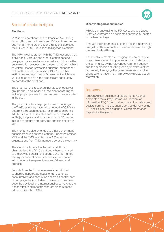

### Stories of practice in Nigeria

#### **Elections**

MRA in collaboration with the Transition Monitoring Group (TMG), a coalition of over 150 election observer and human rights organisations in Nigeria, deployed the FOI Act in 2015 in relation to Nigeria's elections.

The MRA in collaboration with the TMG reasoned that, if civil society groups and other election observer groups, adopt a view to save, monitor or influence the entire election process, then these groups do not have to wait till Election Day to find out if the Independent National Electoral Commission (INEC) and other institutions and agencies of Government which have various roles to play in the process are adequately prepared for the elections.

The organisations reasoned that election observer groups should no longer risk the elections failing for lack of proper preparation, as has been the case often in the past.

The groups instituted a project aimed to leverage on the TMG's extensive nationwide network of CSOs to determine, through requests for information from all INEC offices in the 36 states and the headquarters in Abuja, the plans and structures that INEC has put in place to ensure a smooth, free and fair election in 2015.

The monitoring also extended to other government agencies working on the elections. Under the project, MRA and the TMG selected over 150 member organizations from TMG members across the country.

The event contributed to the radical shift that characterised the 2015 elections, when compared to the previous ones in the country and highlighted the significance of citizens' access to information in instituting a transparent, free and fair electoral process.

Reports from the FOI assessments contributed to shaping debates, as issues of transparency, accountability and corruption became a central part of campaign rhetoric. Indeed, the election has been described by local and international observers as the freest, fairest and most transparent since Nigeria's return to civil rule in 1999.

#### **Disadvantaged communities**

MRA is currently using the FOI Act to engage Lagos State Government on a neglected community located in the heart of Ikeja.

Through the instrumentality of the Act, the intervention has yielded three notable achievements, even though the exercise is still on going.

These achievements are: bringing the community to government's attention; prevention of exploitation of the community by the relevant government agency; and the expression of willingness by members of the community to engage the government as a result of changed orientation, having previously resisted such motivation.

#### Researcher

Ridwan Adigun Sulaimon of Media Rights Agenda completed the survey. Ridwan is a Freedom of Information (FOI) Expert, trained many Journalists, and assists communities to ensure service delivery, using FOI Act. He analysed Nigeria's FOI Implementation Reports for five years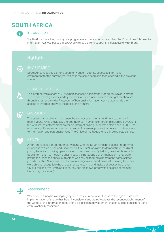## **SOUTH AFRICA**



### Introduction

South Africa has a long history of a progressive access to information law (the Promotion of Access to Information Act was passed in 2000), as well as a strong supporting legislative environment.

South Africa received a strong score of **7** out of 10 for its access to information environment for the current year, which is the same score it in fact received in the previous survey.

The law received a score of 78% when assessed against the Model Law, which is strong. This score was largely assisted by the addition of an independent oversight mechanism through another law – the Protection of Personal Information Act – that amends the access to information law to include such an entity.



The oversight mechanism has been the subject of a major amendment to the Law in recent years. While previously the South African Human Rights Commission had oversight, but with limited enforcement power, an Information Regulator was established in 2016 that now has significant recommendation and enforcement powers that relate to both access to information and personal privacy. The Office of the Regulator is still being established.



A non-profit based in South Africa, working with the South African Regional Programme on Access to Medicines and Diagnostics (SARPAM), was able to demonstrate the direct pricing benefits of having open access to medicine data. By helping provide States with open information to medicine pricing data the Botswana government learnt they were paying ten times the price South Africa was paying for medicine from the same service provider , called Nifedipine (which combats angina and heart disease). Knowing this, they were able to renegotiate the prices they were paying and make a direct saving of over USD\$1 million a year (with additional savings on its two other versions of Recombinant Human Erythropotein).



#### Assessment

While South Africa has a long legacy of access to information thanks to the age of its law, its implementation of the law has been inconsistent and weak. However, the recent establishment of the Office of the Information Regulator is a significant development that should be consistently and enthusiastically monitored.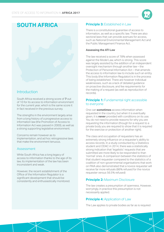

## **SOUTH AFRICA**

### Introduction

South Africa received a strong score of **7** out of 10 for its access to information environment for the current year, which is the same score it in fact received in the previous survey.

The strengths in the environment largely arise from a long history of a progressive access to information law (the Promotion of Access to Information Act was passed in 2000), as well as a strong supporting legislative environment.

Concerns remain however as to implementation, and ad hoc retrogressive laws that make the environment tenuous.

#### Assessment

While South Africa has a long legacy of access to information thanks to the age of its law, its implementation of the law has been inconsistent and weak.

However, the recent establishment of the Office of the Information Regulator is a significant development that should be consistently and enthusiastically monitored.

#### **Principle 3: Established in Law**

There is a constitutional guarantee of access to information, as well as a specific law. There are also sectoral laws that can provide avenues for access, such as National Environmental Management Act and the Public Management Finance Act.

#### **Assessing the ATI Law**

The law received a score of 78% when assessed against the Model Law, which is strong. This score was largely assisted by the addition of an independent oversight mechanism through another law – the Protection of Personal Information Act – that amends the access to information law to include such an entity. This body (the Information Regulator) is in the process of being established. There are however individual weaknesses, such as a lack of detailed guidance on proactive disclosure, and fee requirements for the making of a request (as well as reproduction of records).

#### **Principle 1:** Fundamental right accessible to everyone

One can **sometimes** access information when requested in the country, but when it is eventually given, it is **never** provided with conditions on its use. You do not need to provide reasons for why you are requesting the information (though for a request to a private body you are required to show that it is required for the exercise or protection of another right).

The class and occupation of requesters has an extremely strong influence on a requester's ability to access records. In a study conducted by a Statistics student and ODAC in 2014, there was a statistically strong indication that 'legalistic' requests that are submitted are more likely to be responded to than 'normal' ones. A comparison between the statistics of that student requester compared to the statistics of a coalition of non-governmental organisations that work on PAIA also demonstrated that a novice requester will receive far more refusals (86% refused for the novice requester versus 56.5% refused)

#### **Principle 2:** Maximum Disclosure

The law creates a presumption of openness. However, worryingly, in practice this presumption is not necessarily applied.

#### **Principle 4: Application of Law**

The Law applies to private bodies as far as is required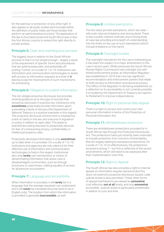for the exercise or protection of any other right. It also applies to all public bodies (and included within the definition of public bides are those bodies that perform an administrative function). The application of the law is thus fairly broad and South Africa was in fact the first African country to extend the right directly to private entities.

### **Principle 5:** Clear and unambiguous process

The biggest issue in relation to the South African process is that it is not simple enough – largely a result of the requirement of specific forms and procedures that are quite bureaucratic, and potentially off putting. Further, on a scale of 1 to 10, institutions use information and communication technologies to assist with access to information requests at a level of **4**, leaving scope for improvement of such mechanisms for processing.

### **Principle 6:** Obligation to publish information

The Act obliges proactive disclosure, but provides minimal guidance as to the type of records that should be disclosed. In practice too, institutions only **sometimes** proactively provide information given a prevailing culture of secrecy (the Department of National Treasury is a positive exemplar in this regard). The proactive disclosure environment is impeded by a lack of clarity in the law, and a lacuna of regulation or policy in relation to open data. This leads to practitioners being reluctant to proactively disclose for fear of contravening privacy, confidentiality or intellectual property rules.

Proactively disclosed information is only **sometimes** up to date when it is provided. On a scale of 1 to 10, institutions and agencies are only rated a 6 for their effective use of information and communication technologies to help in this regard. Institutional also only **rarely** use mechanisms or means of disseminating information that assist rural or disadvantaged communities, such as through brochures or road shows, making equality of access for all persons inconsistent.

### **Principle 7:** Language and accessibility

When information is provided, it will **rarely** be in a language that the average requester can understand and it will **never** be translated (records tend to be in English only). The location from which the information is provided is generally **inaccessible**, as well.

#### **Principle 8:** Limited exemptions

The Act does provide exemptions, which are clear – with both internal limitations and strong detail. There is also a public interest override, and a strong body of case law providing extra depth of understanding into the limits on the use of such exemptions (which include limitations on the harm).

### **Principle 9: Oversight bodies**

The oversight mechanism for the Law is interesting as it has been the subject of a major amendment to the Law in recent years. While previously the South African Human Rights Commission had oversight, but with limited enforcement power, an Information Regulator was established in 2016 that now has significant recommendation and enforcement powers that relate to both access to information and personal privacy. The Office of the Regulator is still being established, so a reflection on its accessibility is not currently possible. It is funded by the Department of Treasury, but reports to Parliament to improve independence.

#### **Principle 10:** Right to personal data Appeal

There is a right to access and correct your own personal information in terms of the Protection of Personal Information Act.

#### **Principle 11:** Whistleblower protection

There are whistleblower protections provided for in South African law through the Protected Disclosures Act. The protections have just recently been extended to include protection from civil and criminal liability (the Act largely relating to workplace protections). On a scale of 1 to 10 on effectiveness, the protections received a strong 7 – but this is reflective of the recent amendments, which still need to be assessed after their implementation over time.

### **Principle 12: Right to Appeal**

The South African law also provides a right to internal appeal on information request decisions (but this does not extend to proactive disclosure issues). Later judicial review is also permitted. These other forms of appeal mechanisms are viewed as **somewhat** cost effective, **not at all** timely, and only **somewhat** accessible. Judicial review is particularly problematic in relation to cost and time.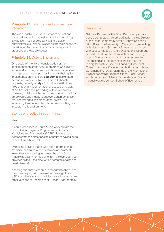

#### **Principle 13: Duty to collect and manage** information

There is a legal duty in South Africa to collect and manage information, as well as a national archiving law/policy. A lack of political will, and a lack of administrative guidance, is seen as the main negative contributing factors on the records management practices of the public sector.

### **Principle 14: Duty to Implement**

On a scale of 1 to 10 on consideration of the implementation of the Act, South Africa was given a score of **6**, with only some institutions and agencies having procedures or policies in place to help guide implementation. There are **sometimes** designated persons in place in public institutions to handle requests, but only **rarely** within private institutions. Problems with implementation are based on a lack of political will and a pervading culture of secrecy. However, up till now it has also been the lack of a fully empowered and independent oversight mechanism that has impeded implementation; so it will be interesting to monitor if the new Information Regulator impacts in this environment.

### Stories of practice in South Africa

#### **Health**

A non-profit based in South Africa, working with the South African Regional Programme on Access to Medicines and Diagnostics (SARPAM), was able to demonstrate the direct pricing benefits of having open access to medicine data.

By helping provide States with open information to medicine pricing data, the Botswana government learnt they were paying ten times the price South Africa was paying for medicine from the same service provider, called Nifedipine (which combats angina and heart disease).

Knowing this, they were able to renegotiate the prices they were paying and make a direct saving of over USD\$1 million a year (with additional savings on its two other versions of Recombinant Human Erythropotein).

#### Researcher

Gabriella Razzano of the Open Democracy Advice Centre completed the survey. Gabriella is the Director of the Open Democracy Advice Centre. She has a BA LLB from the University of Cape Town, graduating with distinction in Sociology. She formerly clerked with Justice Yacoob of the Constitutional Court and worked with University of Witwatersrand, amongst others. She has a particular focus on access to information and freedom of expression issues in a digital context. She is a Founding Director of OpenUp (formerly Code for South Africa), an Internet Governance Fellow, an alumnus of the International Visitor Leadership Program (Global Digital Leader), and is currently an Atlantic Fellow studying Social Inequality at the London School of Economics.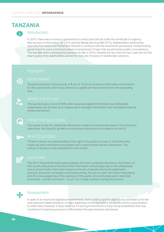## **TANZANIA**



### Introduction

In 2015, there was a move by government to enact two bills all under the certificate of urgency (the Access to Information Bill 2015 and the Media Services Bill 2015). Stakeholders vehemently opposed this move, and Parliament refused to continue with the enactment processes, instead asking government to use a normal procedure of enactment of laws that would involve public consultations. The two Bills were subsequently passed into law in 2016. Despite the fact that the two Laws are not the exact quality that stakeholders wished for, they are inclusive of stakeholder opinions.



Tanzania received a strong score of **7** out of 10 for its access to information environment for the current year, which was viewed as a significant improvement from the preceding year.



The law received a score of 59% when assessed against the Model Law. Noticeable weaknesses are the lack of an independent oversight mechanism and considered internal review mechanism.



The review of the Act noted that reference is made to proactive disclosure in the Act's own objectives. And specific guidance on proactive disclosure is provided in section 9.

"[There is a] lack of understanding of the right of the public to know or to be informed. Public servants still believe that people don't need to know certain information. The culture of secrecy is still embedded in their minds".



#### **ELECTIONS**

The 2015 General Elections were probably the most contested elections in the history of this country. Because of the flow of the information and perhaps due to the widespread use of social media, there were massive turnouts of people during the registration process, during the campaigns and during voting. Access to voter information was plenty and this encouraged two of the sections of the public who rarely take part in electoral processes - women and youth - to turn out in large numbers during the process.



### Assessment

In spite of an improved legislative environment, there is still scope for depth to be provided to the law and improved implementation. A major weakness of the Act itself is its brevity, and its subordination to other laws. However, it does seem as if a strong environment is busy being established that may contribute to improving access to information through proactive disclosure.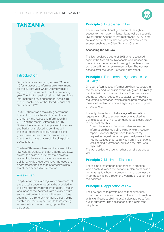

## **TANZANIA**

### Introduction

Tanzania received a strong score of **7** out of 10 for its access to information environment for the current year, which was viewed as a significant improvement from the preceding year. The right to seek, obtain and disseminate information is provided for under Article 18 of the Constitution of the United Republic of Tanzania of 1977.

In 2015, there was a move by government to enact two bills all under the certificate of urgency (the Access to Information Bill 2015 and the Media Services Bill 2015). Stakeholders vehemently opposed this move, and Parliament refused to continue with the enactment processes, instead asking government to use a normal procedure of enactment of laws that would involve public consultations.

The two Bills were subsequently passed into law in 2016. Despite the fact that the two Laws are not the exact quality that stakeholders wished for, they are inclusive of stakeholder opinions. While these laws have improved the environment, the passage of other laws has threatened access to information.

#### Assessment

In spite of an improved legislative environment, there is still scope for depth to be provided to the law and improved implementation. A major weakness of the Act itself is its brevity, and its subordination to other laws. However, it does seem as if a strong environment is busy being established that may contribute to improving access to information through proactive disclosure.

#### **Principle 3: Established in Law**

There is a constitutional guarantee of the right of access to information in Tanzania, as well as a specific law called the Access to Information Act, 2016. There are also sectoral laws that can provide avenues for access, such as the Client Services Charter.

#### **Assessing the ATI Law**

The law received a score of 59% when assessed against the Model Law. Noticeable weaknesses are the lack of an independent oversight mechanism and considered internal review mechanism. The Act was passed after the Model Law came into effect.

#### **Principle 1:** Fundamental right accessible to everyone

One can **often** access information when requested in the country. And, when it is eventually given, it is **rarely** provided with conditions on its use. The practice also seems to require requesters to explain why they are requesting information, which can be problematic (and make it easier to discriminate against particular types of requesters.

The only characteristic to be **very influential** in a requester's ability to access records was cited as being occupation. The respondent noted a case study to demonstrate this:

"I went there as a university student requesting information that [could] help me write my research report. However, they refused to receive my request letter just because I personally wrote it and not the College that I said I was from. Thus not only was I denied information, but even my letter was rejected."

The Act applies to citizens, rather than all persons as well.

### **Principle 2:** Maximum Disclosure

There is no presumption of openness in practice, which contextualises the Act and implementation in a negative light, although a presumption of openness is in contrast implied through the wording of section 5 of the Act itself.

### **Principle 4: Application of Law**

The Law applies to private bodies that either use public funds, or are information holders of information with "significant public interest". It also applies to "any public authority". The application of the law is thus fairly broad.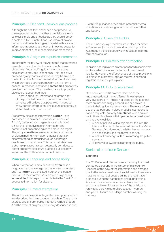#### **Principle 5:** Clear and unambiguous process

Although the act itself describes a set procedure, the respondent noted that these provisions are not as clear, simple and effective as they should be. On a scale of 1 to 10, institutions use information and communication technologies to assist with access to information requests at a level of **5**, leaving scope for improvement of such mechanisms for processing.

#### **Principle 6:** Obligation to publish information

Importantly, the review of the Act noted that reference is made to proactive disclosure in the Act's own objectives. And specific guidance on proactive disclosure is provided in section 9. This legislative embedding of proactive disclosure may be linked to the fact that the Act was passed after the Model Law, which provides a strong framework on this form of access. In practice, institutions **sometimes** proactively provide information. The main hindrance to proactive disclosure is described thus:

"[There is a] lack of understanding of the right of the public to know or to be informed. Public servants still believe that people don't need to know certain information. The culture of secrecy is still embedded in their minds".

Proactively disclosed information is **often** up to date when it is provided. However, on a scale of 1 to 10, institutions and agencies are only rated a 5 for their effective use of information and communication technologies to help in this regard. They only **sometimes** use mechanisms or means of disseminating information that assist rural or disadvantaged communities, such as through brochures or road shows. This demonstrates how a strongly phrased law can potentially contribute to better proactive disclosure practice, but also how important the political environment remains.

#### **Principle 7:** Language and accessibility

When information is provided, it will **often** be in a language that the average requester can understand and it will **often** be translated. Further, the location from which the information is provided is generally **accessible**. This helps to contribute to the "reality" of access to information for citizens.

### **Principle 8:** Limited exemptions

The Act does provide for legislated exemptions, which are described by the respondent as **clear**. There is no express and uniform public interest override, though. And the exemption grounds are only described in brief – with little guidance provided on potential internal limitations etc. – allowing for a broad scope in their application.

#### **Principle 9: Oversight bodies**

There is no oversight mechanism in place for either enforcement (or promotion and monitoring) of the Act, though there is scope within regulations for the formation of such.

#### **Principle 11:** Whistleblower protection

Tanzania has legislative protections for whistleblowers in place, which includes protection from criminal liability. However, the effectiveness of these provisions is difficult to currently judge, as the law is new and regulations are not yet in place.

#### **Principle 14: Duty to Implement**

On a scale of 1 to 10 on consideration of the implementation of the Act, Tanzania was given a very low score of **1** – this is not aided by the fact that there are not seemingly procedures or policies in place to help guide implementation. There are **often** designated persons in place in public institutions to handle requests, but only **sometimes** within private institutions. Problems with implementation are based on three key realities:

- 1. A lack of political will to implement the law. The Law was the first to be enacted before the Media Services Act. However, the latter has regulations in place already and the former has not.
- 2. A lack of knowledge of the Law among the public servants.
- 3. A low level of awareness among the public.

#### Stories of practice in Tanzania

#### **Elections**

The 2015 General Elections were probably the most contested elections in the history of this country. Because of the flow of the information and perhaps due to the widespread use of social media, there were massive turnouts of people during the registration process, during the campaigns and during voting. Access to voter information was plenty and this encouraged two of the sections of the public who rarely take part in electoral processes - women and youth - to turn out in large numbers during the process.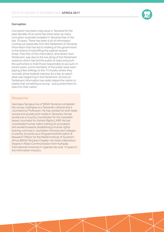#### **Corruption**

Corruption has been a big issue in Tanzania for the past decade. At no point has there been as many corruption scandals revealed in Tanzania than in the last 10 years. There has been a lot of information coming out especially from the Parliament of Tanzania, information that has led to shaking of the government to the extent of reshuffling the cabinet several times. Free flow of this information, and others from Parliament, was due to the live airing of the Parliament sessions which has led the public to react and push the authorities to hold those responsible to account. In recent years, some members of the public were seen paying a few shillings to the TV Kiosks, where they normally show football matches for a fee, to watch what was happening in the Parliament. Access to Parliament information has really helped the nation to realise that something is wrong - and pushed them to stand for their nation.

#### Researcher

Gasirigwa Sengiyumva of MISA-Tanzania completed the survey. Gasirigwa is a Tanzanian national and a Journalist by Profession. He has worked for both state owned and private print media in Tanzania. He has worked as a Country Coordinator for the Canadian based Journalist for Human Rights (JHR). He has coordinated human rights training for journalists and worked towards establishing a human rights training curricula in Journalism Schools and colleges. Currently, he works as a Programme/Information & Research Officer for the Media Institute of Southern Africa (MISA) Tanzania Chapter. He holds a Bachelors Degree in Mass Communication from Kampala International University in Uganda has over 10 years in the information industry.

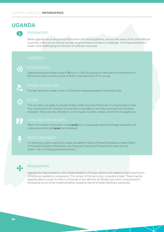## **UGANDA**



### Introduction

While Uganda has an Access to Information Act and regulations, and as with many of the other African countries in this survey that do as well, implementation remains a challenge. This implementation is made more challenging but the lack of sufficient recourse.

Uganda received a weak score of **6** out of 10 for its access to information environment for the current year (a similar score to that it received in the 2015 survey.



The law received a weak score of 55% when assessed against the Model Law.

The Act does not apply to private bodies under any circumstances. It is interesting to note how, more and more, this lack of extension is actually an anomaly amongst the countries reviewed. There are also limitations on the types of public bodies, which the Act applies to.



When information is provided, it will **rarely** be in a language that the average requester can understand and it will **never** be translated.



#### MEDIA TREATMENT

"In refusing to grant request for asset declaration filed by Ronald Ssekyewa, a News Editor of Kampala Dispatch Newsletter, the Inspector General of Government cites among others "risk of it being published further....".



### Assessment

Uganda has had problems in the implementation of its law, which is not aided by the limited forms of recourse available to requesters. The scope of the law is also unusually limited. There may be opportunities to push for reform of the law in line with the AU Model Law, which could assist in remedying some of the implementation problems borne of weak drafting in particular.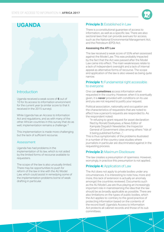

## **UGANDA**

### Introduction

Uganda received a weak score of **6** out of 10 for its access to information environment for the current year (a similar score to that it received in the 2015 survey).

While Uganda has an Access to Information Act and regulations, and as with many of the other African countries in this survey that do as well, implementation remains a challenge. <sup>8</sup>

This implementation is made more challenging but the lack of sufficient recourse.

#### Assessment

Uganda has had problems in the implementation of its law, which is not aided by the limited forms of recourse available to requesters.

The scope of the law is also unusually limited. There may be opportunities to push for reform of the law in line with the AU Model Law, which could assist in remedying some of the implementation problems borne of weak drafting in particular.

#### **Principle 3: Established in Law**

There is a constitutional guarantee of access to information, as well as a specific law. There are also sectoral laws that can provide avenues for access, such as the National Environmental Management Act, and the Petroleum (EPD) Act.

#### **Assessing the ATI Law**

The law received a weak score of 55% when assessed against the Model Law. This was probably impacted by the fact that the Act was passed after the Model Law came into effect. The main weaknesses relate to a lack of independent oversight and a lack of internal appeal as alternative forms of recourse. The scope and application of the law is also viewed as being quite narrow.

#### **Principle 1:** Fundamental right accessible to everyone

One can **sometimes** access information when requested in the country. However, when it is eventually given, it is **never** provided with conditions on its use and you are not required to justify your request.

Political association, nationality and occupation are the characteristics of requesters that are noted to affect how a person's requests are responded to. As the respondent noted:

"In refusing to grant request for asset declaration filed by Ronald Ssekyewa, a News Editor of Kampala Dispatch Newsletter, the Inspector General of Government cites among others "risk of it being published further....".

This is thus symptomatic of the problems illustrated in a number of the country case studies where journalists in particular are discriminated against in the requesting process.

#### **Principle 2: Maximum Disclosure**

The law creates a presumption of openness. However, worryingly, in practice this presumption is not applied.

#### **Principle 4: Application of Law**

The Act does not apply to private bodies under any circumstances. It is interesting to note how, more and more, this lack of extension is actually an anomaly amongst the countries reviewed. Documents such as the AU Model Law are thus playing an increasingly important role in mainstreaming the idea that the law should be as broadly applicable as possible. There are also limitations on the types of public bodies, which the Act applies to: contrary to the good practice of protecting information based on the contents of the record itself, Uganda's Access to Information Act protects all cabinet records and those of its sub committees.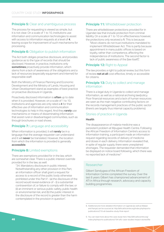#### **Principle 5:** Clear and unambiguous process

The process for requesting is viewed as simple, but it is not clear. On a scale of 1 to 10, institutions use information and communication technologies to assist with access to information requests at a level of **4**, leaving scope for improvement of such mechanisms for processing.

#### **Principle 6:** Obligation to publish information

The Act both obliges proactive disclosure, and provides guidance as to the type of records that should be disclosed. However, in practice, institutions only **sometimes** proactively provide information, which stems from a lack of awareness of the obligations and a lack of resources (especially equipment and internet) for responsible staff.

Both the Ministry of Finance Planning and Economic Development and the Ministry of Lands, Housing and Urban Development stand as examples of best practice on proactive disclosure in Uganda.

Proactively disclosed information is **often** up to date when it is provided. However, on a scale of 1 to 10, institutions and agencies are only rated a **4** for their effective use of information and communication technologies to help in this regard. And they **rarely** use mechanisms or means of disseminating information that assist rural or disadvantaged communities, such as through brochures or road shows.

#### **Principle 7:** Language and accessibility

When information is provided, it will **rarely** be in a language that the average requester can understand and it will **never** be translated. However, the location from which the information is provided is generally **accessible**.

#### **Principle 8:** Limited exemptions

There are exemptions provided for in the law, which are somewhat clear. There is a public interest override provided for in the law, as well:

"34. Mandatory disclosure in public interest. Notwithstanding any other provision in this Part, an information officer shall grant a request for access to a record of the public body otherwise prohibited under this Part if - (a) the disclosure of the record would reveal evidence of - (i) a substantial contravention of, or failure to comply with the law; or (ii) an imminent or serious public safety, public health or environmental risk; and (b) the public interest in the disclosure of the record is greater than the harm contemplated in the provision in question".

#### **Principle 11:** Whistleblower protection

There are whistleblower protections provided for in Ugandan law that include protection from criminal liability. On a scale of 1 to 10 on effectiveness however, the protections only received a **1**. This is because:

"Most citizens do not trust institutions mandated to implement Whistleblower Act. This is partly because appointment in many public offices is based on loyalty, rather than competence, affecting the independence of institutions. The second factor is lack of public awareness of the llaw itself1".

#### **Principle 12: Right to Appeal**

The law provides a right to judicial review, but this form of review **not at all** cost effective, timely or accessible for citizens.

#### **Principle 13: Duty to collect and manage** information

There is a legal duty in Uganda to collect and manage information, as well as a national archiving law/policy. Poor financial resources and a lack of human resources are seen as the main negative contributing factors on the records management practices of the public sector (there's are largely thus internal capacity problems).

#### Stories of practice in Uganda

#### **Health**

The disappearance of malaria medicine was a persistent problem at Mpugwe Health Centre. Following the African Freedom of Information Centre's access to information training, a participant made an information request regarding records of delivery of medicine and doses in each delivery. Information revealed that, in spite of regular supply, there were unexplained shortages. The requester demanded that information be displayed on notice board following, which there was no reported lack of medicine.9

#### Researcher

Gilbert Sendugwa of the African Freedom of Information Centre completed the survey. Over the last 6 years Gilbert has championed advancement of ATI in Africa through research, advocacy and capacity building programmes.

9. You can read more about the case study here: http://africafoicentre.org/ index.php/reports-publications/194-afic-case-studies-impact-stories/file

<sup>8.</sup> Additional and more detailed information on Uganda (as well as Malawi and Kanya) can be sourced at: http://africafoicentre.org/index.php/reportspublications/216-ati-baseline-study-final-report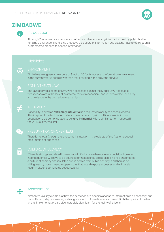

## **ZIMBABWE**



### Introduction

Although Zimbabwe has an access to information law, accessing information held by public bodies remains a challenge. There is no proactive disclosure of information and citizens have to go through a cumbersome process to access information.



Zimbabwe was given a low score of **3** out of 10 for its access to information environment in the current year (a score lower than that provided in the previous survey).



The law received a score of 56% when assessed against the Model Law. Noticeable weaknesses are in the lack of an internal review mechanism, and in terms of lack of clarity and guidance in the procedure mechanisms.

Nationality is cited as **extremely influential** in a requester's ability to access records (this in spite of the fact the Act refers to 'every person'), with political association and occupation also demonstrated to be **very influential** (with a similar pattern reflected in the 2015 survey results).

There is no legal (though there is some insinuation in the objects of the Act) or practical presumption of openness



T

### CULTURE OF SECRECY

"There is strong centralised bureaucracy in Zimbabwe whereby every decision, however inconsequential, will have to be bounced off heads of public bodies. This has engendered a culture of secrecy and insulated public bodies from public scrutiny. And there is no willingness by government to open up, as that would expose excesses and ultimately result in citizens demanding accountability".



### Assessment

Zimbabwe is a key example of how the existence of a specific access to information is a necessary, but not sufficient, step for insuring a strong access to information environment. Both the quality of the law, and its implementation, are also incredibly significant for the reality of citizens.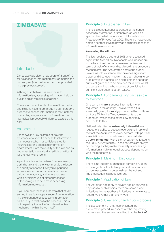## **ZIMBABWE**

### Introduction

Zimbabwe was given a low score of **3** out of 10 for its access to information environment in the current year (a score lower than that provided in the previous survey).

Although Zimbabwe has an access to information law, accessing information held by public bodies remains a challenge.

There is no proactive disclosure of information and citizens have to go through a cumbersome process to access information. In fact, instead of enabling easy access to information, the law makes it practically difficult to exercise this right.

#### Assessment

Zimbabwe is a key example of how the existence of a specific access to information is a necessary, but not sufficient, step for insuring a strong access to information environment. Both the quality of the law, and its implementation, are also incredibly significant for the reality of citizens.

A particular issue that arises from examining both the law and the environment is the issue of equality of access. How you experience access to information is heavily influence by both who you are, and where you are, with insufficient use of either processes or technologies to help make accessing information more equal.

If you compare these results from that of 2015 survey, there is an appearance of degeneration in the experience of accessing information, particularly in relation to the process. This is not helped by the lack of an internal review mechanism within the Act itself.

#### **Principle 3: Established in Law**

There is a constitutional guarantee of the right of access to information in Zimbabwe, as well as a specific law called the Access to Information and Protection of Privacy Act, 2002. There are however, no notable sectoral laws to provide additional access to information assistance.

#### **Assessing the ATI Law**

The law received a score of 56% when assessed against the Model Law. Noticeable weaknesses are in the lack of an internal review mechanism, and in terms of lack of clarity and guidance in the procedure mechanisms. The Act, drafted before the Model Law came into existence, also provides significant power and discretion – which has been shown to be problematic in practice. This highlights the need for sufficient guidance to be provided for in laws, whilst of course skirting the boundaries of providing for sufficient discretion to action takers.

#### **Principle 1:** Fundamental right accessible to everyone

One can only **rarely** access information when requested in the country. However, when it is eventually given, it is **rarely** provided with conditions on it use. Within the Zimbabwean context, the procedural weaknesses of the Law itself may contribute to this.

Nationality is cited as **extremely influential** in a requester's ability to access records (this in spite of the fact the Act refers to 'every person'), with political association and occupation also demonstrated to be **very influential** (with a similar pattern reflected in the 2015 survey results). These patterns are always concerning, as they make the reality of accessing information a highly unequal process depending on who the requester is.

#### **Principle 2:** Maximum Disclosure

There is no legal (though there is some insinuation in the objects of the Act) or practical presumption of openness, which contextualises the Act and implementation in a negative light.

#### **Principle 4: Application of Law**

The Act does not apply to private bodies and, while it applies to public bodies, there are some broad limitations. However, these limitations largely relate to record type, rather than entity type.

#### **Principle 5:** Clear and unambiguous process

The assessment of the Act highlighted the problematic procedural aspects of the requesting process, and the survey noted too that the **lack of**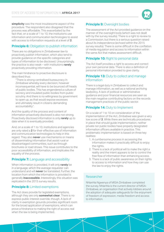**simplicity** was the most troublesome aspect of the procedure. The respondent also disagreed that the process was affordable. This exacerbated by the fact that, on a scale of 1 to 10, the institutions use information and communication technologies to assist with access to information requests at a level of **2**.

#### **Principle 6:** Obligation to publish information

There are no obligations in Zimbabwean law to proactively publish information, which also tend to provide guidance on the specific categories and types of information to be disclosed. Unsurprisingly, the practice is also weak – with institutions **rarely** proactively providing information.

The main hindrance to proactive disclosure is described thus:

"There is strong centralised bureaucracy in Zimbabwe whereby every decision, however inconsequential, will have to be bounced off heads of public bodies. This has engendered a culture of secrecy and insulated public bodies from public scrutiny. And there is no willingness by government to open up, as that would expose excesses and ultimately result in citizens demanding accountability".

And the quality of the process and content of information proactively disclosed is also not strong. Proactively disclosed information is only **rarely** up to date when it is eventually provided.

And, on a scale of 1 to 10, institutions and agencies are only rated a **2** for their effective use of information and communication technologies to help in this regard. They also **never** use mechanisms or means of disseminating information that assist rural or disadvantaged communities, such as through brochures or road shows. This issue contributes to the poor accessibility of information, and implicates the equality of the process.

#### **Principle 7:** Language and accessibility

When information is provided, it will only **rarely** be in a language, which the average requester can understand and will **never** be translated. Further, the location from which the information is provided is generally **inaccessible**. Interestingly, this situation was replicated in the 2015 survey results.

#### **Principle 8:** Limited exemptions

The Act does provide for legislated exemptions, although they are only **somewhat clear**. There is no express public interest override, though. A lack of clarity in exemption grounds provides significant room for the broad application of exemptions, which can prove a hindrance to making the right of access real when the law is being implemented.

#### **Principle 9: Oversight bodies**

The assessment of the Act provided guidance on the manner of the oversight body (which was not dealt with by the survey results). There is a right to review to a Commission, but there is a serious question raised about its independence (echoed within the 2015 survey results). There is some difficult in the conflation of media regulation and access to information within the same Act that makes assessment difficult.

#### **Principle 10:** Right to personal data

The Act itself provides a right to access and correct your own personal data. There is also a definition of personal information provided to give clarity.

#### **Principle 13: Duty to collect and manage** information

There is a legal duty in Zimbabwe to collect and manage information, as well as a national archiving law/policy. A lack of political or administrative guidance and poor financial resources are seen as the main negative contributing factors on the records management practices of the public sector.

#### **Principle 14: Duty to Implement**

On a scale of 1 to 10 on consideration of the implementation of the Act, Zimbabwe was given a very low score of **2**. While there are technically procedures in place that should guide implementation, neither private nor public bodies have properly designated information officers available in practice. This problematic implementation is based on three key realities:

- 1. A cumbersome process in accessing the information makes it practically difficult to enjoy the rights.
- 2. There is a lack of political will to make the right a reality and the intent appears to be to control the free flow of information than enhancing access.
- 3. There is a lack of public awareness on their rights to access to information and how they can use the law to enjoy the rights.

#### **Researcher**

Nhlanhla Ngwenya of MISA-Zimbabwe completed the survey. Nhlanhla is the current director of MISA-Zimbabwe, an organisation that actively lobbies around the adoption of adequate safeguards for the enjoyment of freedom of expression, media freedom and access to information.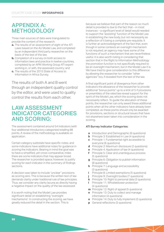## APPENDIX A: METHODOLOGY

Three main sources of data were triangulated to provide the content of the research:

- **a.** The results of an assessment of eight of the ATI Laws based on the AU Model Law, and completed by an independent third party researcher on the basis of the test of the law;
- **b.** Completion of a survey on both access to information laws and practice in twelve countries, completed by an APAI Working Group ATI expert working in, or with, the assessed country; and
- **c.** The results of the 2015 State of Access to Information in Africa Survey.

The results of both A and B went through an independent quality control by the editor, and were used to quality control the results from each other.

## LAW ASSESSMENT INDICATOR CATEGORIES AND SCORING:

The assessment contained around 54 Indicators (with four additional introductory categories) totalling 88 points. A review of the methodology is available on application.

Certain category subtotals have specific notes, and some indicators have additional notes for guidance in scoring the indicators. Bearing in mind the goal was to have a simplified, yet cross-comparative, index there are some indicators that may appear broad. The researcher is provided space, however, to justify scoring for each indicator in the summary of findings sections.

A decision was taken to include "unclear" provisions as scoring zero. This is because the written text of law demands clarity under traditional rule of law principles. Thus, we consider any clarity lacuna as directly having a negative impact on the quality of the law assessed.

It is worth noting that the Model Law provides significant detail on establishing "oversight mechanisms". In constructing the scoring, we have greatly reduced the detail in the section. This is

because we believe that part of the reason so much detail is provided is due to the fact that – in most instances – a significant level of detail would needed to support the "assisting" function of the Model Law in establishing the new body, but not necessarily as a reflection of it being a complete pre-requisite. It is further an acknowledgment of the fact that, even though in some contexts an oversight mechanism is not required, an agency may have some of the functions of such a mechanism that are nevertheless useful. It is also worth noting in considering that section that in the Right to Information Methodology the promotion function is not specifically required to be an oversight mechanism, but in the Model Law it is. We have tried to give consideration to this difference by allowing the researcher to consider "other agencies" too, if revealed from the text of the law.

A final significant point of divergence from other indicators the allowance of the researcher to provide additional "bonus points" up to a limit of 5 if provisions or preambles of the rated law reveal support for the spirit of the Model Law, which the scoring does not necessarily reflect. To guide the allocation of these points, the researcher can only award these additional points when all the other indicators have already been completed, as these points should only be awarded for provisions, sections or structural issues that have not elsewhere been taken into consideration in the scoring.

#### **ATI Survey Indicator Categories:**

- **a** Introduction and Demographic (6 questions)
- **b** Principle 3: Established in Law (4 questions)
- **c** Principle 1: Fundamental right accessible to everyone (6 questions)
- **d** Principle 2: Maximum disclosure (2 questions)
- **e** Principle 4: Application of law (4 questions)
- **f** Principle 5: Clear and unambiguous process (5 questions)
- **g** Principle 6: Obligation to publish information (8 questions)
- **h** Principle 7: Language and accessibility (3 questions)
- **i** Principle 8: Limited exemptions (5 questions)
- **j** Principle 9: Oversight bodies (7 questions)
- **k** Principle 10: Right to personal data (3 questions)
- **I** Principle 11: Whistleblower protection (4 questions)
- **m** Principle 12: Right of appeal (5 questions)
- **n** Principle 13: Duty to collect and manage information (4 questions)
- **o** Principle 14: Duty to fully implement (5 questions)
- **p** General reflections (3 questions)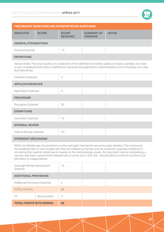

| PRELIMINARY QUESTIONS AND INTERPRETATION QUESTIONS |              |                                 |                                      |              |
|----------------------------------------------------|--------------|---------------------------------|--------------------------------------|--------------|
| <b>INDICATOR</b>                                   | <b>SCORE</b> | <b>SCORE</b><br><b>RECEIVED</b> | <b>SUMMARY OF</b><br><b>FINDINGS</b> | <b>NOTES</b> |
| <b>GENERAL/FOUNDATIONS</b>                         |              |                                 |                                      |              |
| <b>General Subtotal:</b>                           |              | 10                              |                                      |              |
| <b>DEFINITIONS</b>                                 |              |                                 |                                      |              |

Section Note: This only touches on a selection of the definitions (it merely seeks to review a sample), but does so as it is believed that clarity in definitions improves the potential for implementation and is the basis of a clear and rational law.

| Definition Subtotal:         | 5  |  |  |
|------------------------------|----|--|--|
| <b>APPLICATION/SCOPE</b>     |    |  |  |
| <b>Application Subtotal:</b> | 5  |  |  |
| <b>PROCEDURE</b>             |    |  |  |
| Procedure Subtotal:          | 20 |  |  |
| <b>EXEMPTIONS</b>            |    |  |  |
| <b>Exemption Subtotal:</b>   | 15 |  |  |
| <b>INTERNAL REVIEW</b>       |    |  |  |
| Internal Review Subtotal:    | 10 |  |  |
| <b>OVERSIGHT MECHANISM</b>   |    |  |  |

Within the Model Law, the provisions on the oversight mechanism are particularly detailed. This is because the establishment of such bodies will often be initiated by that law, and we remained cognizant therefore of not letting that need for detail way to heavily on the methodology scores. An important note for interpreting: a country may have a government department of some sort in this role - should still be scored in functions, but will reflect in independence.

| Oversight Review Mechanism<br>Subtotal: |              | 15 |  |  |
|-----------------------------------------|--------------|----|--|--|
| <b>ADDITIONAL PROVISIONS</b>            |              |    |  |  |
| <b>Additional Provisions Subtotal:</b>  |              | 5  |  |  |
| <b>TOTAL POINTS:</b>                    |              | 85 |  |  |
| 54                                      | Bonus points | 3  |  |  |
| <b>TOTAL POINTS WITH BONUS:</b><br>88   |              |    |  |  |